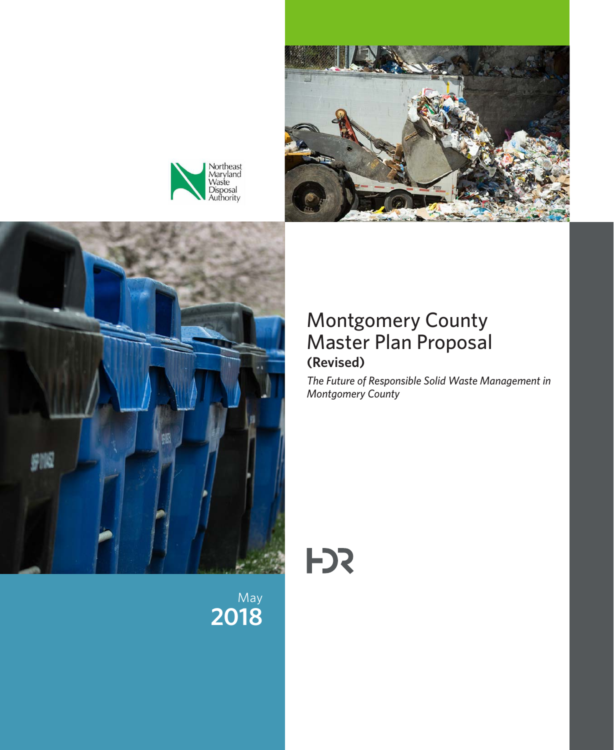







# Montgomery County Master Plan Proposal **(Revised)**

*The Future of Responsible Solid Waste Management in Montgomery County*

**F**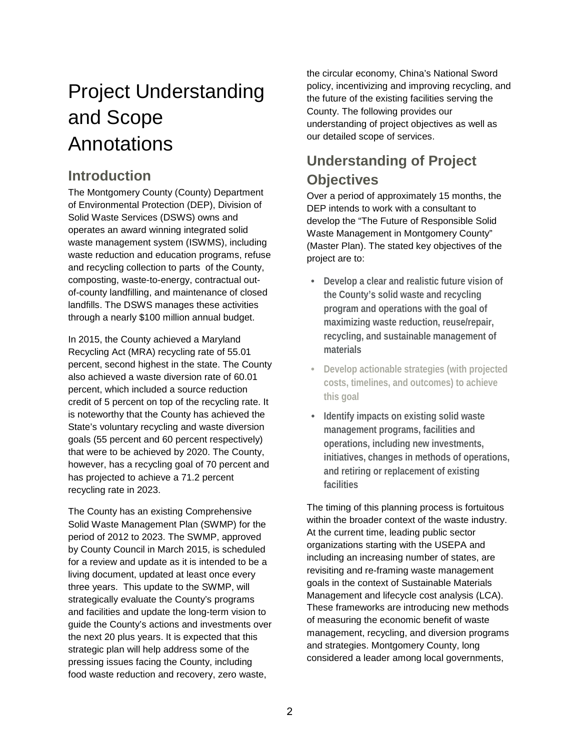# Project Understanding and Scope Annotations

# **Introduction**

The Montgomery County (County) Department of Environmental Protection (DEP), Division of Solid Waste Services (DSWS) owns and operates an award winning integrated solid waste management system (ISWMS), including waste reduction and education programs, refuse and recycling collection to parts of the County, composting, waste-to-energy, contractual outof-county landfilling, and maintenance of closed landfills. The DSWS manages these activities through a nearly \$100 million annual budget.

In 2015, the County achieved a Maryland Recycling Act (MRA) recycling rate of 55.01 percent, second highest in the state. The County also achieved a waste diversion rate of 60.01 percent, which included a source reduction credit of 5 percent on top of the recycling rate. It is noteworthy that the County has achieved the State's voluntary recycling and waste diversion goals (55 percent and 60 percent respectively) that were to be achieved by 2020. The County, however, has a recycling goal of 70 percent and has projected to achieve a 71.2 percent recycling rate in 2023.

The County has an existing Comprehensive Solid Waste Management Plan (SWMP) for the period of 2012 to 2023. The SWMP, approved by County Council in March 2015, is scheduled for a review and update as it is intended to be a living document, updated at least once every three years. This update to the SWMP, will strategically evaluate the County's programs and facilities and update the long-term vision to guide the County's actions and investments over the next 20 plus years. It is expected that this strategic plan will help address some of the pressing issues facing the County, including food waste reduction and recovery, zero waste,

the circular economy, China's National Sword policy, incentivizing and improving recycling, and the future of the existing facilities serving the County. The following provides our understanding of project objectives as well as our detailed scope of services.

# **Understanding of Project Objectives**

Over a period of approximately 15 months, the DEP intends to work with a consultant to develop the "The Future of Responsible Solid Waste Management in Montgomery County" (Master Plan). The stated key objectives of the project are to:

- **Develop a clear and realistic future vision of the County's solid waste and recycling program and operations with the goal of maximizing waste reduction, reuse/repair, recycling, and sustainable management of materials**
- **Develop actionable strategies (with projected costs, timelines, and outcomes) to achieve this goal**
- **Identify impacts on existing solid waste management programs, facilities and operations, including new investments, initiatives, changes in methods of operations, and retiring or replacement of existing facilities**

The timing of this planning process is fortuitous within the broader context of the waste industry. At the current time, leading public sector organizations starting with the USEPA and including an increasing number of states, are revisiting and re-framing waste management goals in the context of Sustainable Materials Management and lifecycle cost analysis (LCA). These frameworks are introducing new methods of measuring the economic benefit of waste management, recycling, and diversion programs and strategies. Montgomery County, long considered a leader among local governments,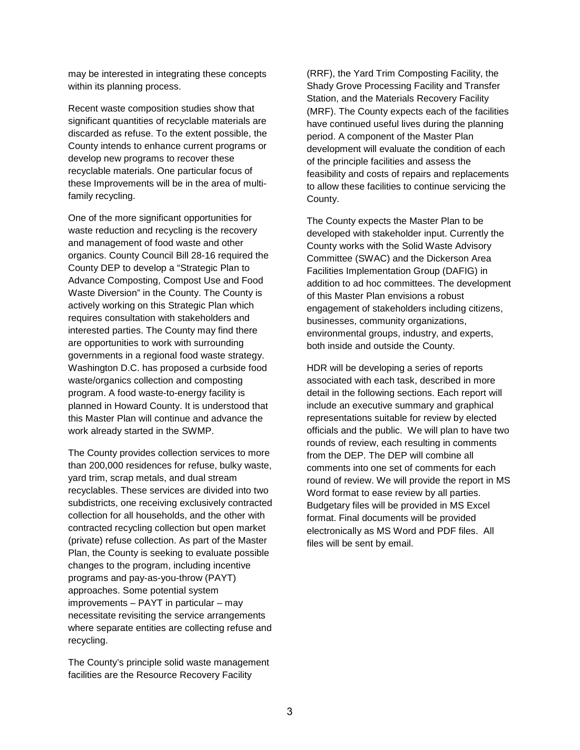may be interested in integrating these concepts within its planning process.

Recent waste composition studies show that significant quantities of recyclable materials are discarded as refuse. To the extent possible, the County intends to enhance current programs or develop new programs to recover these recyclable materials. One particular focus of these Improvements will be in the area of multifamily recycling.

One of the more significant opportunities for waste reduction and recycling is the recovery and management of food waste and other organics. County Council Bill 28-16 required the County DEP to develop a "Strategic Plan to Advance Composting, Compost Use and Food Waste Diversion" in the County. The County is actively working on this Strategic Plan which requires consultation with stakeholders and interested parties. The County may find there are opportunities to work with surrounding governments in a regional food waste strategy. Washington D.C. has proposed a curbside food waste/organics collection and composting program. A food waste-to-energy facility is planned in Howard County. It is understood that this Master Plan will continue and advance the work already started in the SWMP.

The County provides collection services to more than 200,000 residences for refuse, bulky waste, yard trim, scrap metals, and dual stream recyclables. These services are divided into two subdistricts, one receiving exclusively contracted collection for all households, and the other with contracted recycling collection but open market (private) refuse collection. As part of the Master Plan, the County is seeking to evaluate possible changes to the program, including incentive programs and pay-as-you-throw (PAYT) approaches. Some potential system improvements – PAYT in particular – may necessitate revisiting the service arrangements where separate entities are collecting refuse and recycling.

The County's principle solid waste management facilities are the Resource Recovery Facility

(RRF), the Yard Trim Composting Facility, the Shady Grove Processing Facility and Transfer Station, and the Materials Recovery Facility (MRF). The County expects each of the facilities have continued useful lives during the planning period. A component of the Master Plan development will evaluate the condition of each of the principle facilities and assess the feasibility and costs of repairs and replacements to allow these facilities to continue servicing the County.

The County expects the Master Plan to be developed with stakeholder input. Currently the County works with the Solid Waste Advisory Committee (SWAC) and the Dickerson Area Facilities Implementation Group (DAFIG) in addition to ad hoc committees. The development of this Master Plan envisions a robust engagement of stakeholders including citizens, businesses, community organizations, environmental groups, industry, and experts, both inside and outside the County.

HDR will be developing a series of reports associated with each task, described in more detail in the following sections. Each report will include an executive summary and graphical representations suitable for review by elected officials and the public. We will plan to have two rounds of review, each resulting in comments from the DEP. The DEP will combine all comments into one set of comments for each round of review. We will provide the report in MS Word format to ease review by all parties. Budgetary files will be provided in MS Excel format. Final documents will be provided electronically as MS Word and PDF files. All files will be sent by email.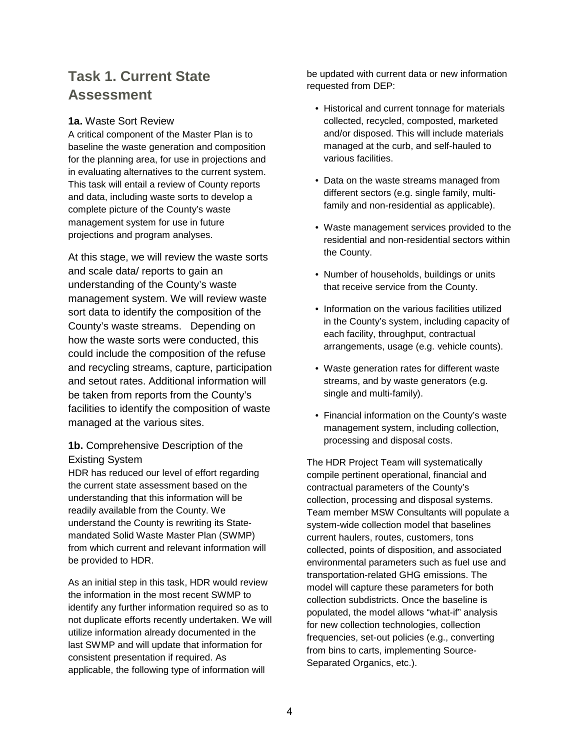# **Task 1. Current State Assessment**

## **1a.** Waste Sort Review

A critical component of the Master Plan is to baseline the waste generation and composition for the planning area, for use in projections and in evaluating alternatives to the current system. This task will entail a review of County reports and data, including waste sorts to develop a complete picture of the County's waste management system for use in future projections and program analyses.

At this stage, we will review the waste sorts and scale data/ reports to gain an understanding of the County's waste management system. We will review waste sort data to identify the composition of the County's waste streams. Depending on how the waste sorts were conducted, this could include the composition of the refuse and recycling streams, capture, participation and setout rates. Additional information will be taken from reports from the County's facilities to identify the composition of waste managed at the various sites.

# **1b.** Comprehensive Description of the Existing System

HDR has reduced our level of effort regarding the current state assessment based on the understanding that this information will be readily available from the County. We understand the County is rewriting its Statemandated Solid Waste Master Plan (SWMP) from which current and relevant information will be provided to HDR.

As an initial step in this task, HDR would review the information in the most recent SWMP to identify any further information required so as to not duplicate efforts recently undertaken. We will utilize information already documented in the last SWMP and will update that information for consistent presentation if required. As applicable, the following type of information will

be updated with current data or new information requested from DEP:

- Historical and current tonnage for materials collected, recycled, composted, marketed and/or disposed. This will include materials managed at the curb, and self-hauled to various facilities.
- Data on the waste streams managed from different sectors (e.g. single family, multifamily and non-residential as applicable).
- Waste management services provided to the residential and non-residential sectors within the County.
- Number of households, buildings or units that receive service from the County.
- Information on the various facilities utilized in the County's system, including capacity of each facility, throughput, contractual arrangements, usage (e.g. vehicle counts).
- Waste generation rates for different waste streams, and by waste generators (e.g. single and multi-family).
- Financial information on the County's waste management system, including collection, processing and disposal costs.

The HDR Project Team will systematically compile pertinent operational, financial and contractual parameters of the County's collection, processing and disposal systems. Team member MSW Consultants will populate a system-wide collection model that baselines current haulers, routes, customers, tons collected, points of disposition, and associated environmental parameters such as fuel use and transportation-related GHG emissions. The model will capture these parameters for both collection subdistricts. Once the baseline is populated, the model allows "what-if" analysis for new collection technologies, collection frequencies, set-out policies (e.g., converting from bins to carts, implementing Source-Separated Organics, etc.).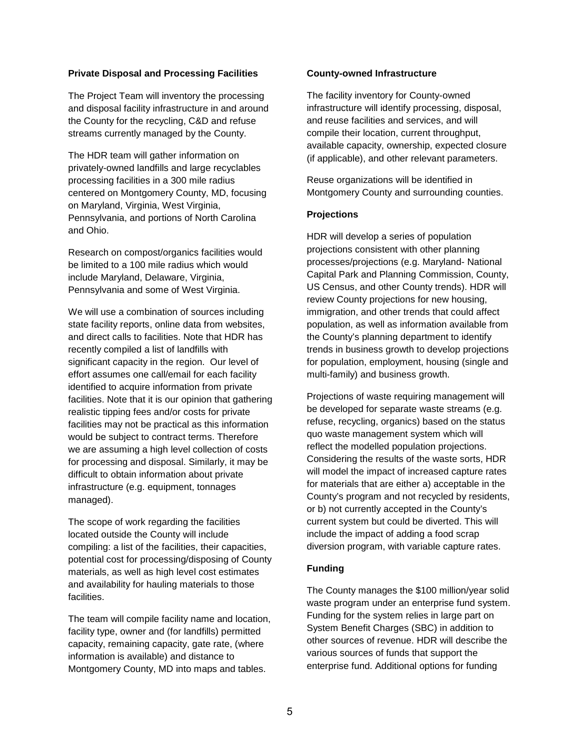## **Private Disposal and Processing Facilities**

The Project Team will inventory the processing and disposal facility infrastructure in and around the County for the recycling, C&D and refuse streams currently managed by the County.

The HDR team will gather information on privately-owned landfills and large recyclables processing facilities in a 300 mile radius centered on Montgomery County, MD, focusing on Maryland, Virginia, West Virginia, Pennsylvania, and portions of North Carolina and Ohio.

Research on compost/organics facilities would be limited to a 100 mile radius which would include Maryland, Delaware, Virginia, Pennsylvania and some of West Virginia.

We will use a combination of sources including state facility reports, online data from websites, and direct calls to facilities. Note that HDR has recently compiled a list of landfills with significant capacity in the region. Our level of effort assumes one call/email for each facility identified to acquire information from private facilities. Note that it is our opinion that gathering realistic tipping fees and/or costs for private facilities may not be practical as this information would be subject to contract terms. Therefore we are assuming a high level collection of costs for processing and disposal. Similarly, it may be difficult to obtain information about private infrastructure (e.g. equipment, tonnages managed).

The scope of work regarding the facilities located outside the County will include compiling: a list of the facilities, their capacities, potential cost for processing/disposing of County materials, as well as high level cost estimates and availability for hauling materials to those facilities.

The team will compile facility name and location, facility type, owner and (for landfills) permitted capacity, remaining capacity, gate rate, (where information is available) and distance to Montgomery County, MD into maps and tables.

#### **County-owned Infrastructure**

The facility inventory for County-owned infrastructure will identify processing, disposal, and reuse facilities and services, and will compile their location, current throughput, available capacity, ownership, expected closure (if applicable), and other relevant parameters.

Reuse organizations will be identified in Montgomery County and surrounding counties.

#### **Projections**

HDR will develop a series of population projections consistent with other planning processes/projections (e.g. Maryland- National Capital Park and Planning Commission, County, US Census, and other County trends). HDR will review County projections for new housing, immigration, and other trends that could affect population, as well as information available from the County's planning department to identify trends in business growth to develop projections for population, employment, housing (single and multi-family) and business growth.

Projections of waste requiring management will be developed for separate waste streams (e.g. refuse, recycling, organics) based on the status quo waste management system which will reflect the modelled population projections. Considering the results of the waste sorts, HDR will model the impact of increased capture rates for materials that are either a) acceptable in the County's program and not recycled by residents, or b) not currently accepted in the County's current system but could be diverted. This will include the impact of adding a food scrap diversion program, with variable capture rates.

#### **Funding**

The County manages the \$100 million/year solid waste program under an enterprise fund system. Funding for the system relies in large part on System Benefit Charges (SBC) in addition to other sources of revenue. HDR will describe the various sources of funds that support the enterprise fund. Additional options for funding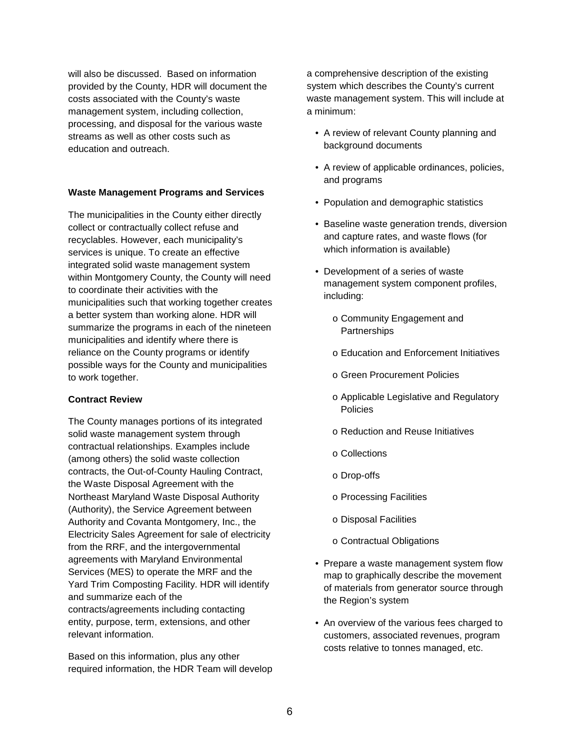will also be discussed. Based on information provided by the County, HDR will document the costs associated with the County's waste management system, including collection, processing, and disposal for the various waste streams as well as other costs such as education and outreach.

## **Waste Management Programs and Services**

The municipalities in the County either directly collect or contractually collect refuse and recyclables. However, each municipality's services is unique. To create an effective integrated solid waste management system within Montgomery County, the County will need to coordinate their activities with the municipalities such that working together creates a better system than working alone. HDR will summarize the programs in each of the nineteen municipalities and identify where there is reliance on the County programs or identify possible ways for the County and municipalities to work together.

#### **Contract Review**

The County manages portions of its integrated solid waste management system through contractual relationships. Examples include (among others) the solid waste collection contracts, the Out-of-County Hauling Contract, the Waste Disposal Agreement with the Northeast Maryland Waste Disposal Authority (Authority), the Service Agreement between Authority and Covanta Montgomery, Inc., the Electricity Sales Agreement for sale of electricity from the RRF, and the intergovernmental agreements with Maryland Environmental Services (MES) to operate the MRF and the Yard Trim Composting Facility. HDR will identify and summarize each of the contracts/agreements including contacting entity, purpose, term, extensions, and other relevant information.

Based on this information, plus any other required information, the HDR Team will develop a comprehensive description of the existing system which describes the County's current waste management system. This will include at a minimum:

- A review of relevant County planning and background documents
- A review of applicable ordinances, policies, and programs
- Population and demographic statistics
- Baseline waste generation trends, diversion and capture rates, and waste flows (for which information is available)
- Development of a series of waste management system component profiles, including:
	- o Community Engagement and **Partnerships**
	- o Education and Enforcement Initiatives
	- o Green Procurement Policies
	- o Applicable Legislative and Regulatory Policies
	- o Reduction and Reuse Initiatives
	- o Collections
	- o Drop-offs
	- o Processing Facilities
	- o Disposal Facilities
	- o Contractual Obligations
- Prepare a waste management system flow map to graphically describe the movement of materials from generator source through the Region's system
- An overview of the various fees charged to customers, associated revenues, program costs relative to tonnes managed, etc.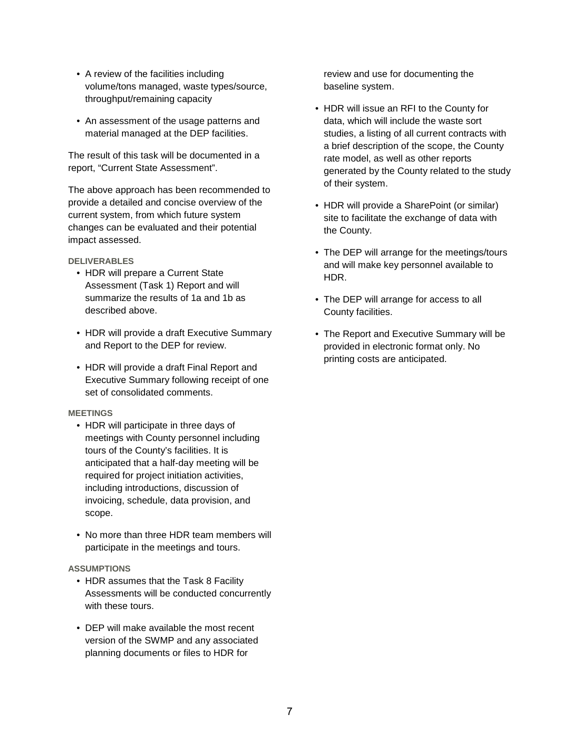- A review of the facilities including volume/tons managed, waste types/source, throughput/remaining capacity
- An assessment of the usage patterns and material managed at the DEP facilities.

The result of this task will be documented in a report, "Current State Assessment".

The above approach has been recommended to provide a detailed and concise overview of the current system, from which future system changes can be evaluated and their potential impact assessed.

#### **DELIVERABLES**

- HDR will prepare a Current State Assessment (Task 1) Report and will summarize the results of 1a and 1b as described above.
- HDR will provide a draft Executive Summary and Report to the DEP for review.
- HDR will provide a draft Final Report and Executive Summary following receipt of one set of consolidated comments.

#### **MEETINGS**

- HDR will participate in three days of meetings with County personnel including tours of the County's facilities. It is anticipated that a half-day meeting will be required for project initiation activities, including introductions, discussion of invoicing, schedule, data provision, and scope.
- No more than three HDR team members will participate in the meetings and tours.

#### **ASSUMPTIONS**

- HDR assumes that the Task 8 Facility Assessments will be conducted concurrently with these tours.
- DEP will make available the most recent version of the SWMP and any associated planning documents or files to HDR for

review and use for documenting the baseline system.

- HDR will issue an RFI to the County for data, which will include the waste sort studies, a listing of all current contracts with a brief description of the scope, the County rate model, as well as other reports generated by the County related to the study of their system.
- HDR will provide a SharePoint (or similar) site to facilitate the exchange of data with the County.
- The DEP will arrange for the meetings/tours and will make key personnel available to HDR.
- The DEP will arrange for access to all County facilities.
- The Report and Executive Summary will be provided in electronic format only. No printing costs are anticipated.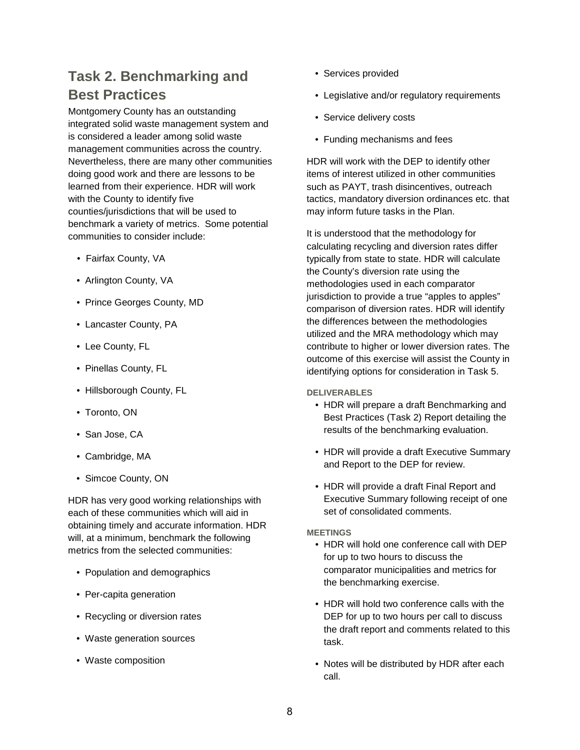# **Task 2. Benchmarking and Best Practices**

Montgomery County has an outstanding integrated solid waste management system and is considered a leader among solid waste management communities across the country. Nevertheless, there are many other communities doing good work and there are lessons to be learned from their experience. HDR will work with the County to identify five counties/jurisdictions that will be used to benchmark a variety of metrics. Some potential communities to consider include:

- Fairfax County, VA
- Arlington County, VA
- Prince Georges County, MD
- Lancaster County, PA
- Lee County, FL
- Pinellas County, FL
- Hillsborough County, FL
- Toronto, ON
- San Jose, CA
- Cambridge, MA
- Simcoe County, ON

HDR has very good working relationships with each of these communities which will aid in obtaining timely and accurate information. HDR will, at a minimum, benchmark the following metrics from the selected communities:

- Population and demographics
- Per-capita generation
- Recycling or diversion rates
- Waste generation sources
- Waste composition
- Services provided
- Legislative and/or regulatory requirements
- Service delivery costs
- Funding mechanisms and fees

HDR will work with the DEP to identify other items of interest utilized in other communities such as PAYT, trash disincentives, outreach tactics, mandatory diversion ordinances etc. that may inform future tasks in the Plan.

It is understood that the methodology for calculating recycling and diversion rates differ typically from state to state. HDR will calculate the County's diversion rate using the methodologies used in each comparator jurisdiction to provide a true "apples to apples" comparison of diversion rates. HDR will identify the differences between the methodologies utilized and the MRA methodology which may contribute to higher or lower diversion rates. The outcome of this exercise will assist the County in identifying options for consideration in Task 5.

**DELIVERABLES**

- HDR will prepare a draft Benchmarking and Best Practices (Task 2) Report detailing the results of the benchmarking evaluation.
- HDR will provide a draft Executive Summary and Report to the DEP for review.
- HDR will provide a draft Final Report and Executive Summary following receipt of one set of consolidated comments.

## **MEETINGS**

- HDR will hold one conference call with DEP for up to two hours to discuss the comparator municipalities and metrics for the benchmarking exercise.
- HDR will hold two conference calls with the DEP for up to two hours per call to discuss the draft report and comments related to this task.
- Notes will be distributed by HDR after each call.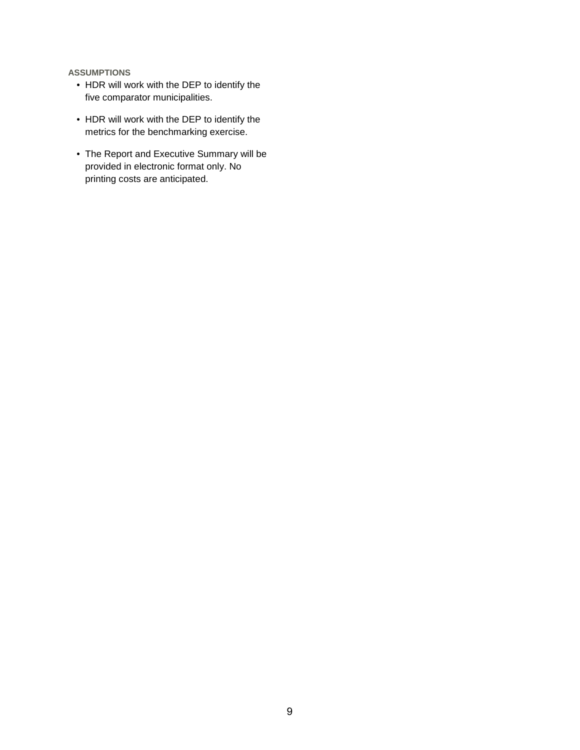- HDR will work with the DEP to identify the five comparator municipalities.
- HDR will work with the DEP to identify the metrics for the benchmarking exercise.
- The Report and Executive Summary will be provided in electronic format only. No printing costs are anticipated.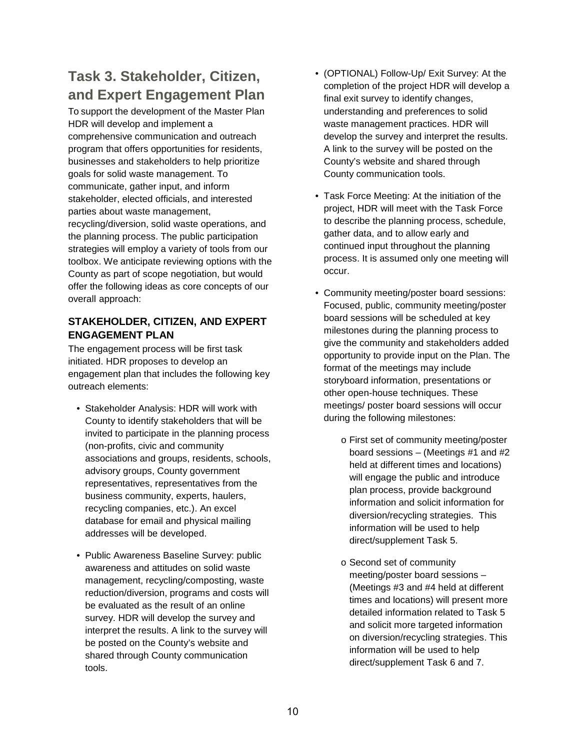# **Task 3. Stakeholder, Citizen, and Expert Engagement Plan**

To support the development of the Master Plan HDR will develop and implement a comprehensive communication and outreach program that offers opportunities for residents, businesses and stakeholders to help prioritize goals for solid waste management. To communicate, gather input, and inform stakeholder, elected officials, and interested parties about waste management, recycling/diversion, solid waste operations, and the planning process. The public participation strategies will employ a variety of tools from our toolbox. We anticipate reviewing options with the County as part of scope negotiation, but would offer the following ideas as core concepts of our overall approach:

# **STAKEHOLDER, CITIZEN, AND EXPERT ENGAGEMENT PLAN**

The engagement process will be first task initiated. HDR proposes to develop an engagement plan that includes the following key outreach elements:

- Stakeholder Analysis: HDR will work with County to identify stakeholders that will be invited to participate in the planning process (non-profits, civic and community associations and groups, residents, schools, advisory groups, County government representatives, representatives from the business community, experts, haulers, recycling companies, etc.). An excel database for email and physical mailing addresses will be developed.
- Public Awareness Baseline Survey: public awareness and attitudes on solid waste management, recycling/composting, waste reduction/diversion, programs and costs will be evaluated as the result of an online survey. HDR will develop the survey and interpret the results. A link to the survey will be posted on the County's website and shared through County communication tools.
- (OPTIONAL) Follow-Up/ Exit Survey: At the completion of the project HDR will develop a final exit survey to identify changes, understanding and preferences to solid waste management practices. HDR will develop the survey and interpret the results. A link to the survey will be posted on the County's website and shared through County communication tools.
- Task Force Meeting: At the initiation of the project, HDR will meet with the Task Force to describe the planning process, schedule, gather data, and to allow early and continued input throughout the planning process. It is assumed only one meeting will occur.
- Community meeting/poster board sessions: Focused, public, community meeting/poster board sessions will be scheduled at key milestones during the planning process to give the community and stakeholders added opportunity to provide input on the Plan. The format of the meetings may include storyboard information, presentations or other open-house techniques. These meetings/ poster board sessions will occur during the following milestones:
	- o First set of community meeting/poster board sessions – (Meetings #1 and #2 held at different times and locations) will engage the public and introduce plan process, provide background information and solicit information for diversion/recycling strategies. This information will be used to help direct/supplement Task 5.
	- o Second set of community meeting/poster board sessions – (Meetings #3 and #4 held at different times and locations) will present more detailed information related to Task 5 and solicit more targeted information on diversion/recycling strategies. This information will be used to help direct/supplement Task 6 and 7.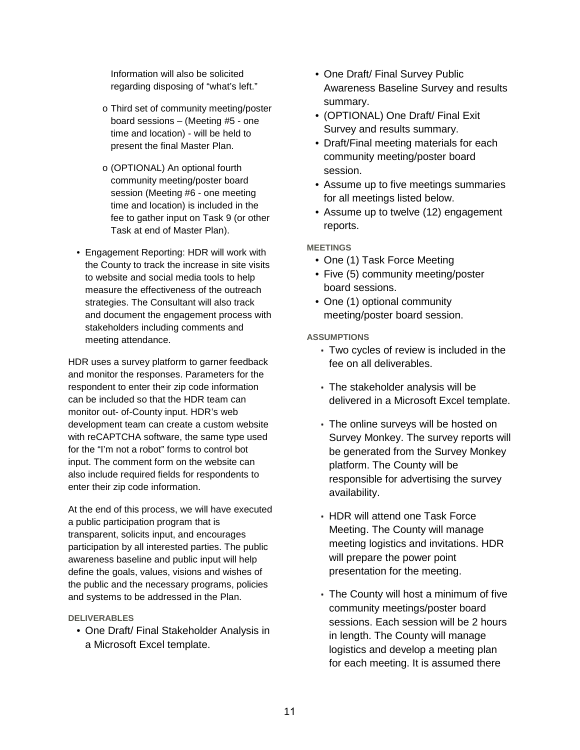Information will also be solicited regarding disposing of "what's left."

- o Third set of community meeting/poster board sessions – (Meeting #5 - one time and location) - will be held to present the final Master Plan.
- o (OPTIONAL) An optional fourth community meeting/poster board session (Meeting #6 - one meeting time and location) is included in the fee to gather input on Task 9 (or other Task at end of Master Plan).
- Engagement Reporting: HDR will work with the County to track the increase in site visits to website and social media tools to help measure the effectiveness of the outreach strategies. The Consultant will also track and document the engagement process with stakeholders including comments and meeting attendance.

HDR uses a survey platform to garner feedback and monitor the responses. Parameters for the respondent to enter their zip code information can be included so that the HDR team can monitor out- of-County input. HDR's web development team can create a custom website with reCAPTCHA software, the same type used for the "I'm not a robot" forms to control bot input. The comment form on the website can also include required fields for respondents to enter their zip code information.

At the end of this process, we will have executed a public participation program that is transparent, solicits input, and encourages participation by all interested parties. The public awareness baseline and public input will help define the goals, values, visions and wishes of the public and the necessary programs, policies and systems to be addressed in the Plan.

#### **DELIVERABLES**

• One Draft/ Final Stakeholder Analysis in a Microsoft Excel template.

- One Draft/ Final Survey Public Awareness Baseline Survey and results summary.
- (OPTIONAL) One Draft/ Final Exit Survey and results summary.
- Draft/Final meeting materials for each community meeting/poster board session.
- Assume up to five meetings summaries for all meetings listed below.
- Assume up to twelve (12) engagement reports.

## **MEETINGS**

- One (1) Task Force Meeting
- Five (5) community meeting/poster board sessions.
- One (1) optional community meeting/poster board session.

- Two cycles of review is included in the fee on all deliverables.
- The stakeholder analysis will be delivered in a Microsoft Excel template.
- The online surveys will be hosted on Survey Monkey. The survey reports will be generated from the Survey Monkey platform. The County will be responsible for advertising the survey availability.
- HDR will attend one Task Force Meeting. The County will manage meeting logistics and invitations. HDR will prepare the power point presentation for the meeting.
- The County will host a minimum of five community meetings/poster board sessions. Each session will be 2 hours in length. The County will manage logistics and develop a meeting plan for each meeting. It is assumed there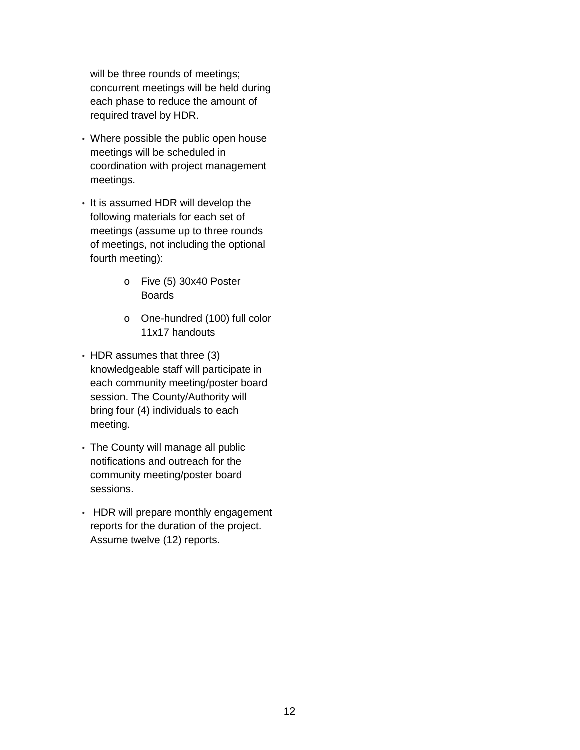will be three rounds of meetings; concurrent meetings will be held during each phase to reduce the amount of required travel by HDR.

- Where possible the public open house meetings will be scheduled in coordination with project management meetings.
- It is assumed HDR will develop the following materials for each set of meetings (assume up to three rounds of meetings, not including the optional fourth meeting):
	- o Five (5) 30x40 Poster Boards
	- o One-hundred (100) full color 11x17 handouts
- HDR assumes that three (3) knowledgeable staff will participate in each community meeting/poster board session. The County/Authority will bring four (4) individuals to each meeting.
- The County will manage all public notifications and outreach for the community meeting/poster board sessions.
- HDR will prepare monthly engagement reports for the duration of the project. Assume twelve (12) reports.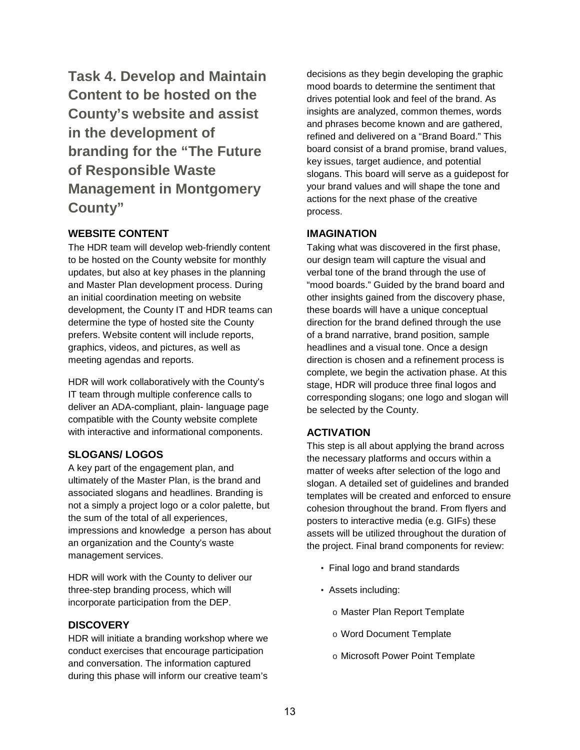**Task 4. Develop and Maintain Content to be hosted on the County's website and assist in the development of branding for the "The Future of Responsible Waste Management in Montgomery County"**

## **WEBSITE CONTENT**

The HDR team will develop web-friendly content to be hosted on the County website for monthly updates, but also at key phases in the planning and Master Plan development process. During an initial coordination meeting on website development, the County IT and HDR teams can determine the type of hosted site the County prefers. Website content will include reports, graphics, videos, and pictures, as well as meeting agendas and reports.

HDR will work collaboratively with the County's IT team through multiple conference calls to deliver an ADA-compliant, plain- language page compatible with the County website complete with interactive and informational components.

## **SLOGANS/ LOGOS**

A key part of the engagement plan, and ultimately of the Master Plan, is the brand and associated slogans and headlines. Branding is not a simply a project logo or a color palette, but the sum of the total of all experiences, impressions and knowledge a person has about an organization and the County's waste management services.

HDR will work with the County to deliver our three-step branding process, which will incorporate participation from the DEP.

## **DISCOVERY**

HDR will initiate a branding workshop where we conduct exercises that encourage participation and conversation. The information captured during this phase will inform our creative team's

decisions as they begin developing the graphic mood boards to determine the sentiment that drives potential look and feel of the brand. As insights are analyzed, common themes, words and phrases become known and are gathered, refined and delivered on a "Brand Board." This board consist of a brand promise, brand values, key issues, target audience, and potential slogans. This board will serve as a guidepost for your brand values and will shape the tone and actions for the next phase of the creative process.

## **IMAGINATION**

Taking what was discovered in the first phase, our design team will capture the visual and verbal tone of the brand through the use of "mood boards." Guided by the brand board and other insights gained from the discovery phase, these boards will have a unique conceptual direction for the brand defined through the use of a brand narrative, brand position, sample headlines and a visual tone. Once a design direction is chosen and a refinement process is complete, we begin the activation phase. At this stage, HDR will produce three final logos and corresponding slogans; one logo and slogan will be selected by the County.

# **ACTIVATION**

This step is all about applying the brand across the necessary platforms and occurs within a matter of weeks after selection of the logo and slogan. A detailed set of guidelines and branded templates will be created and enforced to ensure cohesion throughout the brand. From flyers and posters to interactive media (e.g. GIFs) these assets will be utilized throughout the duration of the project. Final brand components for review:

- Final logo and brand standards
- Assets including:
	- o Master Plan Report Template
	- o Word Document Template
	- o Microsoft Power Point Template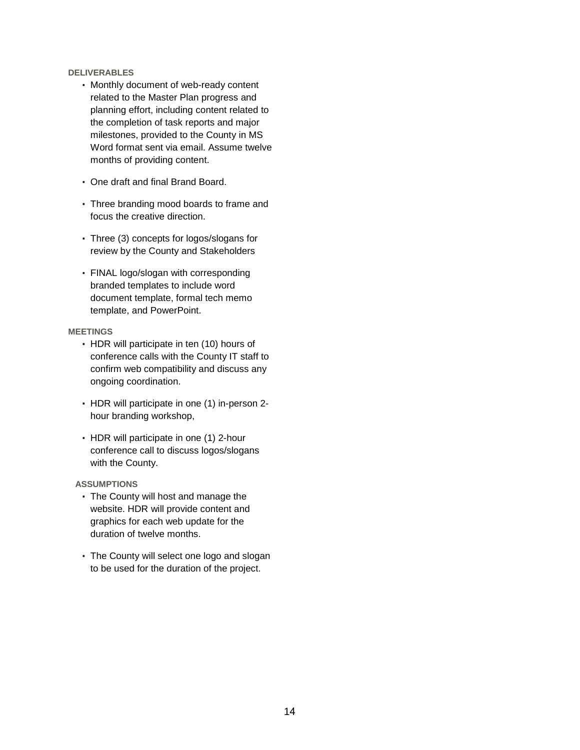#### **DELIVERABLES**

- Monthly document of web-ready content related to the Master Plan progress and planning effort, including content related to the completion of task reports and major milestones, provided to the County in MS Word format sent via email. Assume twelve months of providing content.
- One draft and final Brand Board.
- Three branding mood boards to frame and focus the creative direction.
- Three (3) concepts for logos/slogans for review by the County and Stakeholders
- FINAL logo/slogan with corresponding branded templates to include word document template, formal tech memo template, and PowerPoint.

#### **MEETINGS**

- HDR will participate in ten (10) hours of conference calls with the County IT staff to confirm web compatibility and discuss any ongoing coordination.
- HDR will participate in one (1) in-person 2 hour branding workshop,
- HDR will participate in one (1) 2-hour conference call to discuss logos/slogans with the County.

- The County will host and manage the website. HDR will provide content and graphics for each web update for the duration of twelve months.
- The County will select one logo and slogan to be used for the duration of the project.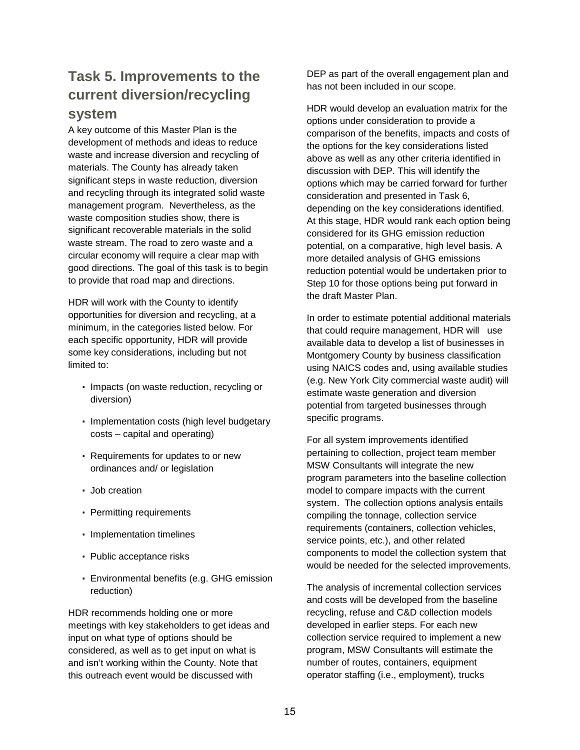# **Task 5. Improvements to the current diversion/recycling system**

A key outcome of this Master Plan is the development of methods and ideas to reduce waste and increase diversion and recycling of materials. The County has already taken significant steps in waste reduction, diversion and recycling through its integrated solid waste management program. Nevertheless, as the waste composition studies show, there is significant recoverable materials in the solid waste stream. The road to zero waste and a circular economy will require a clear map with good directions. The goal of this task is to begin to provide that road map and directions.

HDR will work with the County to identify opportunities for diversion and recycling, at a minimum, in the categories listed below. For each specific opportunity, HDR will provide some key considerations, including but not limited to:

- Impacts (on waste reduction, recycling or diversion)
- Implementation costs (high level budgetary costs – capital and operating)
- Requirements for updates to or new ordinances and/ or legislation
- Job creation
- Permitting requirements
- Implementation timelines
- Public acceptance risks
- Environmental benefits (e.g. GHG emission reduction)

HDR recommends holding one or more meetings with key stakeholders to get ideas and input on what type of options should be considered, as well as to get input on what is and isn't working within the County. Note that this outreach event would be discussed with

DEP as part of the overall engagement plan and has not been included in our scope.

HDR would develop an evaluation matrix for the options under consideration to provide a comparison of the benefits, impacts and costs of the options for the key considerations listed above as well as any other criteria identified in discussion with DEP. This will identify the options which may be carried forward for further consideration and presented in Task 6, depending on the key considerations identified. At this stage, HDR would rank each option being considered for its GHG emission reduction potential, on a comparative, high level basis. A more detailed analysis of GHG emissions reduction potential would be undertaken prior to Step 10 for those options being put forward in the draft Master Plan.

In order to estimate potential additional materials that could require management, HDR will use available data to develop a list of businesses in Montgomery County by business classification using NAICS codes and, using available studies (e.g. New York City commercial waste audit) will estimate waste generation and diversion potential from targeted businesses through specific programs.

For all system improvements identified pertaining to collection, project team member MSW Consultants will integrate the new program parameters into the baseline collection model to compare impacts with the current system. The collection options analysis entails compiling the tonnage, collection service requirements (containers, collection vehicles, service points, etc.), and other related components to model the collection system that would be needed for the selected improvements.

The analysis of incremental collection services and costs will be developed from the baseline recycling, refuse and C&D collection models developed in earlier steps. For each new collection service required to implement a new program, MSW Consultants will estimate the number of routes, containers, equipment operator staffing (i.e., employment), trucks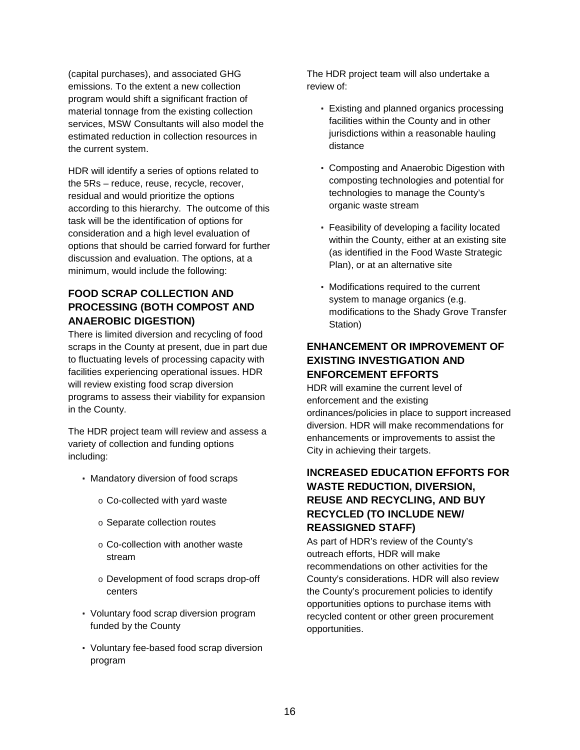(capital purchases), and associated GHG emissions. To the extent a new collection program would shift a significant fraction of material tonnage from the existing collection services, MSW Consultants will also model the estimated reduction in collection resources in the current system.

HDR will identify a series of options related to the 5Rs – reduce, reuse, recycle, recover, residual and would prioritize the options according to this hierarchy. The outcome of this task will be the identification of options for consideration and a high level evaluation of options that should be carried forward for further discussion and evaluation. The options, at a minimum, would include the following:

# **FOOD SCRAP COLLECTION AND PROCESSING (BOTH COMPOST AND ANAEROBIC DIGESTION)**

There is limited diversion and recycling of food scraps in the County at present, due in part due to fluctuating levels of processing capacity with facilities experiencing operational issues. HDR will review existing food scrap diversion programs to assess their viability for expansion in the County.

The HDR project team will review and assess a variety of collection and funding options including:

- Mandatory diversion of food scraps
	- o Co-collected with yard waste
	- o Separate collection routes
	- o Co-collection with another waste stream
	- o Development of food scraps drop-off centers
- Voluntary food scrap diversion program funded by the County
- Voluntary fee-based food scrap diversion program

The HDR project team will also undertake a review of:

- Existing and planned organics processing facilities within the County and in other jurisdictions within a reasonable hauling distance
- Composting and Anaerobic Digestion with composting technologies and potential for technologies to manage the County's organic waste stream
- Feasibility of developing a facility located within the County, either at an existing site (as identified in the Food Waste Strategic Plan), or at an alternative site
- Modifications required to the current system to manage organics (e.g. modifications to the Shady Grove Transfer Station)

# **ENHANCEMENT OR IMPROVEMENT OF EXISTING INVESTIGATION AND ENFORCEMENT EFFORTS**

HDR will examine the current level of enforcement and the existing ordinances/policies in place to support increased diversion. HDR will make recommendations for enhancements or improvements to assist the City in achieving their targets.

# **INCREASED EDUCATION EFFORTS FOR WASTE REDUCTION, DIVERSION, REUSE AND RECYCLING, AND BUY RECYCLED (TO INCLUDE NEW/ REASSIGNED STAFF)**

As part of HDR's review of the County's outreach efforts, HDR will make recommendations on other activities for the County's considerations. HDR will also review the County's procurement policies to identify opportunities options to purchase items with recycled content or other green procurement opportunities.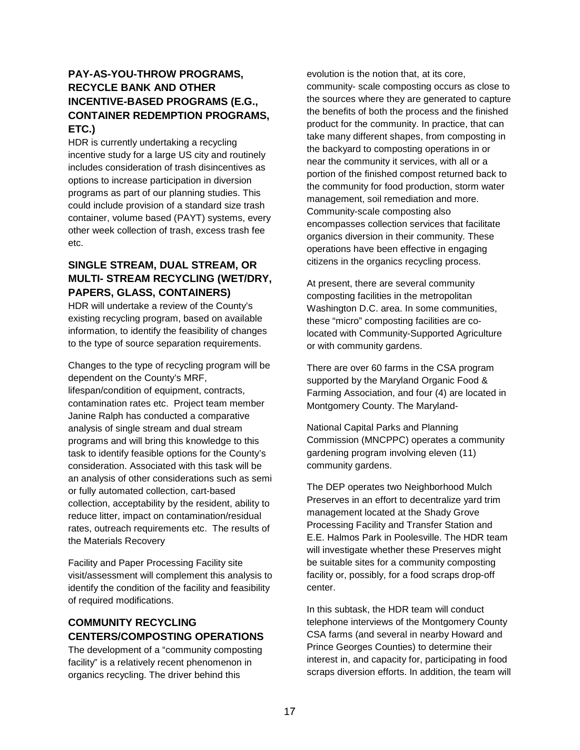# **PAY-AS-YOU-THROW PROGRAMS, RECYCLE BANK AND OTHER INCENTIVE-BASED PROGRAMS (E.G., CONTAINER REDEMPTION PROGRAMS, ETC.)**

HDR is currently undertaking a recycling incentive study for a large US city and routinely includes consideration of trash disincentives as options to increase participation in diversion programs as part of our planning studies. This could include provision of a standard size trash container, volume based (PAYT) systems, every other week collection of trash, excess trash fee etc.

# **SINGLE STREAM, DUAL STREAM, OR MULTI- STREAM RECYCLING (WET/DRY, PAPERS, GLASS, CONTAINERS)**

HDR will undertake a review of the County's existing recycling program, based on available information, to identify the feasibility of changes to the type of source separation requirements.

Changes to the type of recycling program will be dependent on the County's MRF, lifespan/condition of equipment, contracts, contamination rates etc. Project team member Janine Ralph has conducted a comparative analysis of single stream and dual stream programs and will bring this knowledge to this task to identify feasible options for the County's consideration. Associated with this task will be an analysis of other considerations such as semi or fully automated collection, cart-based collection, acceptability by the resident, ability to reduce litter, impact on contamination/residual rates, outreach requirements etc. The results of the Materials Recovery

Facility and Paper Processing Facility site visit/assessment will complement this analysis to identify the condition of the facility and feasibility of required modifications.

# **COMMUNITY RECYCLING CENTERS/COMPOSTING OPERATIONS**

The development of a "community composting facility" is a relatively recent phenomenon in organics recycling. The driver behind this

evolution is the notion that, at its core, community- scale composting occurs as close to the sources where they are generated to capture the benefits of both the process and the finished product for the community. In practice, that can take many different shapes, from composting in the backyard to composting operations in or near the community it services, with all or a portion of the finished compost returned back to the community for food production, storm water management, soil remediation and more. Community-scale composting also encompasses collection services that facilitate organics diversion in their community. These operations have been effective in engaging citizens in the organics recycling process.

At present, there are several community composting facilities in the metropolitan Washington D.C. area. In some communities, these "micro" composting facilities are colocated with Community-Supported Agriculture or with community gardens.

There are over 60 farms in the CSA program supported by the Maryland Organic Food & Farming Association, and four (4) are located in Montgomery County. The Maryland-

National Capital Parks and Planning Commission (MNCPPC) operates a community gardening program involving eleven (11) community gardens.

The DEP operates two Neighborhood Mulch Preserves in an effort to decentralize yard trim management located at the Shady Grove Processing Facility and Transfer Station and E.E. Halmos Park in Poolesville. The HDR team will investigate whether these Preserves might be suitable sites for a community composting facility or, possibly, for a food scraps drop-off center.

In this subtask, the HDR team will conduct telephone interviews of the Montgomery County CSA farms (and several in nearby Howard and Prince Georges Counties) to determine their interest in, and capacity for, participating in food scraps diversion efforts. In addition, the team will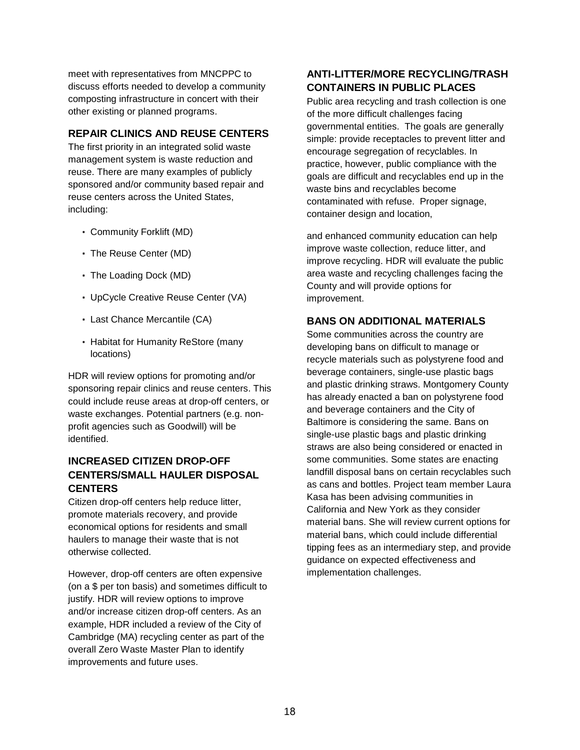meet with representatives from MNCPPC to discuss efforts needed to develop a community composting infrastructure in concert with their other existing or planned programs.

# **REPAIR CLINICS AND REUSE CENTERS**

The first priority in an integrated solid waste management system is waste reduction and reuse. There are many examples of publicly sponsored and/or community based repair and reuse centers across the United States, including:

- Community Forklift (MD)
- The Reuse Center (MD)
- The Loading Dock (MD)
- UpCycle Creative Reuse Center (VA)
- Last Chance Mercantile (CA)
- Habitat for Humanity ReStore (many locations)

HDR will review options for promoting and/or sponsoring repair clinics and reuse centers. This could include reuse areas at drop-off centers, or waste exchanges. Potential partners (e.g. nonprofit agencies such as Goodwill) will be identified.

# **INCREASED CITIZEN DROP-OFF CENTERS/SMALL HAULER DISPOSAL CENTERS**

Citizen drop-off centers help reduce litter, promote materials recovery, and provide economical options for residents and small haulers to manage their waste that is not otherwise collected.

However, drop-off centers are often expensive (on a \$ per ton basis) and sometimes difficult to justify. HDR will review options to improve and/or increase citizen drop-off centers. As an example, HDR included a review of the City of Cambridge (MA) recycling center as part of the overall Zero Waste Master Plan to identify improvements and future uses.

# **ANTI-LITTER/MORE RECYCLING/TRASH CONTAINERS IN PUBLIC PLACES**

Public area recycling and trash collection is one of the more difficult challenges facing governmental entities. The goals are generally simple: provide receptacles to prevent litter and encourage segregation of recyclables. In practice, however, public compliance with the goals are difficult and recyclables end up in the waste bins and recyclables become contaminated with refuse. Proper signage, container design and location,

and enhanced community education can help improve waste collection, reduce litter, and improve recycling. HDR will evaluate the public area waste and recycling challenges facing the County and will provide options for improvement.

## **BANS ON ADDITIONAL MATERIALS**

Some communities across the country are developing bans on difficult to manage or recycle materials such as polystyrene food and beverage containers, single-use plastic bags and plastic drinking straws. Montgomery County has already enacted a ban on polystyrene food and beverage containers and the City of Baltimore is considering the same. Bans on single-use plastic bags and plastic drinking straws are also being considered or enacted in some communities. Some states are enacting landfill disposal bans on certain recyclables such as cans and bottles. Project team member Laura Kasa has been advising communities in California and New York as they consider material bans. She will review current options for material bans, which could include differential tipping fees as an intermediary step, and provide guidance on expected effectiveness and implementation challenges.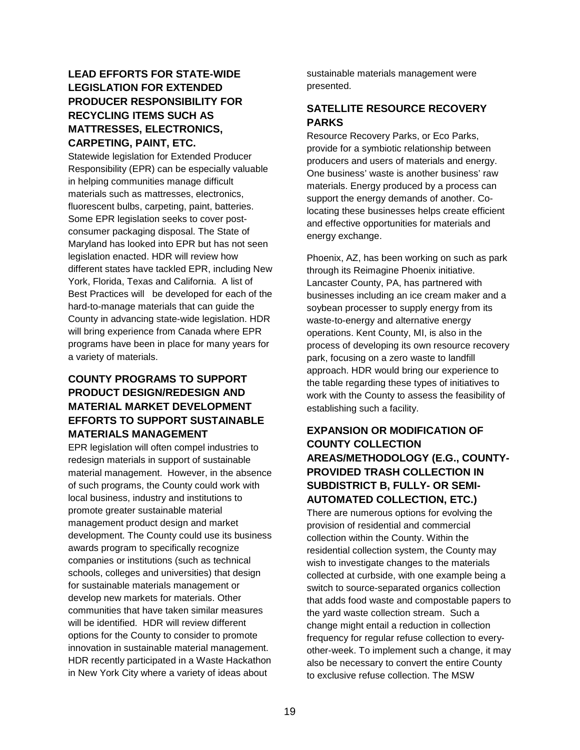# **LEAD EFFORTS FOR STATE-WIDE LEGISLATION FOR EXTENDED PRODUCER RESPONSIBILITY FOR RECYCLING ITEMS SUCH AS MATTRESSES, ELECTRONICS, CARPETING, PAINT, ETC.**

Statewide legislation for Extended Producer Responsibility (EPR) can be especially valuable in helping communities manage difficult materials such as mattresses, electronics, fluorescent bulbs, carpeting, paint, batteries. Some EPR legislation seeks to cover postconsumer packaging disposal. The State of Maryland has looked into EPR but has not seen legislation enacted. HDR will review how different states have tackled EPR, including New York, Florida, Texas and California. A list of Best Practices will be developed for each of the hard-to-manage materials that can guide the County in advancing state-wide legislation. HDR will bring experience from Canada where EPR programs have been in place for many years for a variety of materials.

# **COUNTY PROGRAMS TO SUPPORT PRODUCT DESIGN/REDESIGN AND MATERIAL MARKET DEVELOPMENT EFFORTS TO SUPPORT SUSTAINABLE MATERIALS MANAGEMENT**

EPR legislation will often compel industries to redesign materials in support of sustainable material management. However, in the absence of such programs, the County could work with local business, industry and institutions to promote greater sustainable material management product design and market development. The County could use its business awards program to specifically recognize companies or institutions (such as technical schools, colleges and universities) that design for sustainable materials management or develop new markets for materials. Other communities that have taken similar measures will be identified. HDR will review different options for the County to consider to promote innovation in sustainable material management. HDR recently participated in a Waste Hackathon in New York City where a variety of ideas about

sustainable materials management were presented.

# **SATELLITE RESOURCE RECOVERY PARKS**

Resource Recovery Parks, or Eco Parks, provide for a symbiotic relationship between producers and users of materials and energy. One business' waste is another business' raw materials. Energy produced by a process can support the energy demands of another. Colocating these businesses helps create efficient and effective opportunities for materials and energy exchange.

Phoenix, AZ, has been working on such as park through its Reimagine Phoenix initiative. Lancaster County, PA, has partnered with businesses including an ice cream maker and a soybean processer to supply energy from its waste-to-energy and alternative energy operations. Kent County, MI, is also in the process of developing its own resource recovery park, focusing on a zero waste to landfill approach. HDR would bring our experience to the table regarding these types of initiatives to work with the County to assess the feasibility of establishing such a facility.

# **EXPANSION OR MODIFICATION OF COUNTY COLLECTION AREAS/METHODOLOGY (E.G., COUNTY-PROVIDED TRASH COLLECTION IN SUBDISTRICT B, FULLY- OR SEMI-AUTOMATED COLLECTION, ETC.)**

There are numerous options for evolving the provision of residential and commercial collection within the County. Within the residential collection system, the County may wish to investigate changes to the materials collected at curbside, with one example being a switch to source-separated organics collection that adds food waste and compostable papers to the yard waste collection stream. Such a change might entail a reduction in collection frequency for regular refuse collection to everyother-week. To implement such a change, it may also be necessary to convert the entire County to exclusive refuse collection. The MSW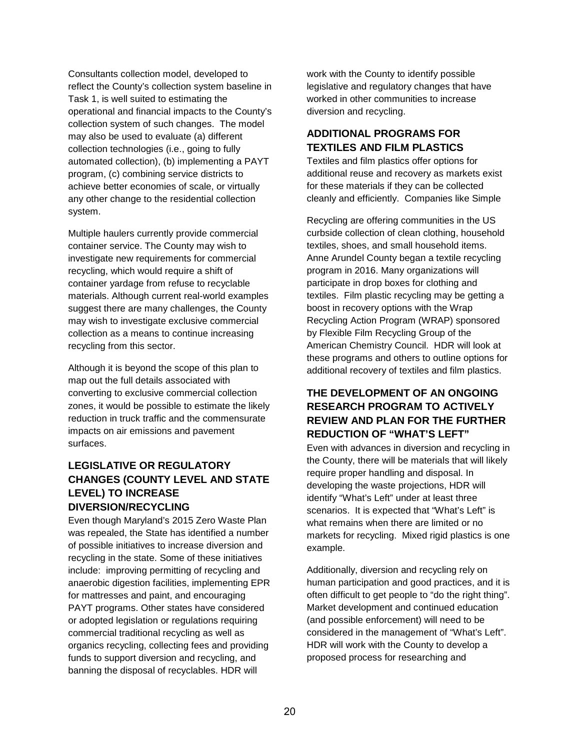Consultants collection model, developed to reflect the County's collection system baseline in Task 1, is well suited to estimating the operational and financial impacts to the County's collection system of such changes. The model may also be used to evaluate (a) different collection technologies (i.e., going to fully automated collection), (b) implementing a PAYT program, (c) combining service districts to achieve better economies of scale, or virtually any other change to the residential collection system.

Multiple haulers currently provide commercial container service. The County may wish to investigate new requirements for commercial recycling, which would require a shift of container yardage from refuse to recyclable materials. Although current real-world examples suggest there are many challenges, the County may wish to investigate exclusive commercial collection as a means to continue increasing recycling from this sector.

Although it is beyond the scope of this plan to map out the full details associated with converting to exclusive commercial collection zones, it would be possible to estimate the likely reduction in truck traffic and the commensurate impacts on air emissions and pavement surfaces.

# **LEGISLATIVE OR REGULATORY CHANGES (COUNTY LEVEL AND STATE LEVEL) TO INCREASE DIVERSION/RECYCLING**

Even though Maryland's 2015 Zero Waste Plan was repealed, the State has identified a number of possible initiatives to increase diversion and recycling in the state. Some of these initiatives include: improving permitting of recycling and anaerobic digestion facilities, implementing EPR for mattresses and paint, and encouraging PAYT programs. Other states have considered or adopted legislation or regulations requiring commercial traditional recycling as well as organics recycling, collecting fees and providing funds to support diversion and recycling, and banning the disposal of recyclables. HDR will

work with the County to identify possible legislative and regulatory changes that have worked in other communities to increase diversion and recycling.

# **ADDITIONAL PROGRAMS FOR TEXTILES AND FILM PLASTICS**

Textiles and film plastics offer options for additional reuse and recovery as markets exist for these materials if they can be collected cleanly and efficiently. Companies like Simple

Recycling are offering communities in the US curbside collection of clean clothing, household textiles, shoes, and small household items. Anne Arundel County began a textile recycling program in 2016. Many organizations will participate in drop boxes for clothing and textiles. Film plastic recycling may be getting a boost in recovery options with the Wrap Recycling Action Program (WRAP) sponsored by Flexible Film Recycling Group of the American Chemistry Council. HDR will look at these programs and others to outline options for additional recovery of textiles and film plastics.

# **THE DEVELOPMENT OF AN ONGOING RESEARCH PROGRAM TO ACTIVELY REVIEW AND PLAN FOR THE FURTHER REDUCTION OF "WHAT'S LEFT"**

Even with advances in diversion and recycling in the County, there will be materials that will likely require proper handling and disposal. In developing the waste projections, HDR will identify "What's Left" under at least three scenarios. It is expected that "What's Left" is what remains when there are limited or no markets for recycling. Mixed rigid plastics is one example.

Additionally, diversion and recycling rely on human participation and good practices, and it is often difficult to get people to "do the right thing". Market development and continued education (and possible enforcement) will need to be considered in the management of "What's Left". HDR will work with the County to develop a proposed process for researching and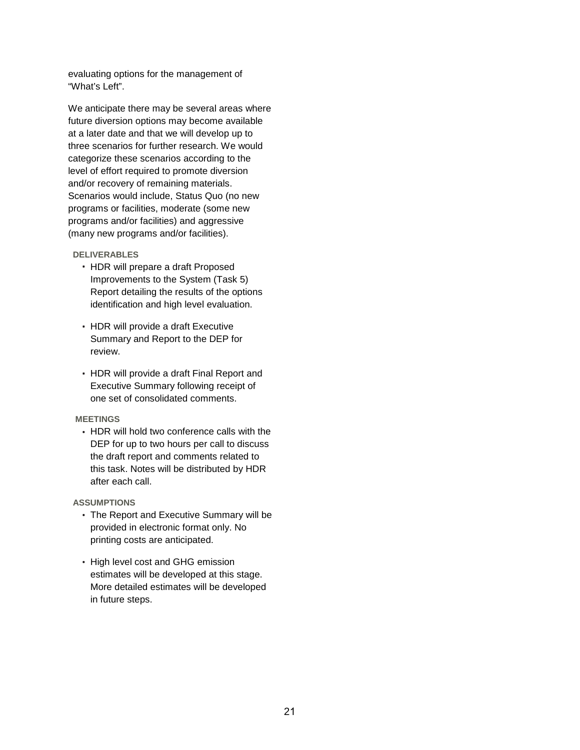evaluating options for the management of "What's Left".

We anticipate there may be several areas where future diversion options may become available at a later date and that we will develop up to three scenarios for further research. We would categorize these scenarios according to the level of effort required to promote diversion and/or recovery of remaining materials. Scenarios would include, Status Quo (no new programs or facilities, moderate (some new programs and/or facilities) and aggressive (many new programs and/or facilities).

#### **DELIVERABLES**

- HDR will prepare a draft Proposed Improvements to the System (Task 5) Report detailing the results of the options identification and high level evaluation.
- HDR will provide a draft Executive Summary and Report to the DEP for review.
- HDR will provide a draft Final Report and Executive Summary following receipt of one set of consolidated comments.

#### **MEETINGS**

• HDR will hold two conference calls with the DEP for up to two hours per call to discuss the draft report and comments related to this task. Notes will be distributed by HDR after each call.

- The Report and Executive Summary will be provided in electronic format only. No printing costs are anticipated.
- High level cost and GHG emission estimates will be developed at this stage. More detailed estimates will be developed in future steps.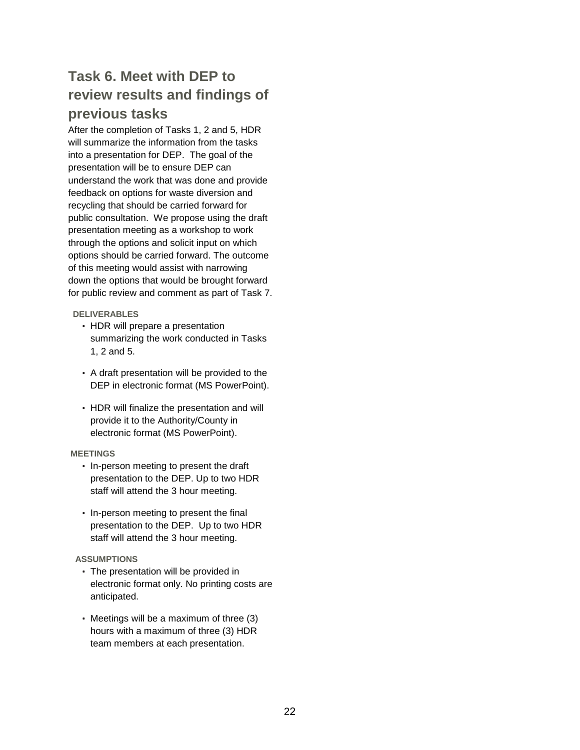# **Task 6. Meet with DEP to review results and findings of previous tasks**

After the completion of Tasks 1, 2 and 5, HDR will summarize the information from the tasks into a presentation for DEP. The goal of the presentation will be to ensure DEP can understand the work that was done and provide feedback on options for waste diversion and recycling that should be carried forward for public consultation. We propose using the draft presentation meeting as a workshop to work through the options and solicit input on which options should be carried forward. The outcome of this meeting would assist with narrowing down the options that would be brought forward for public review and comment as part of Task 7.

## **DELIVERABLES**

- HDR will prepare a presentation summarizing the work conducted in Tasks 1, 2 and 5.
- A draft presentation will be provided to the DEP in electronic format (MS PowerPoint).
- HDR will finalize the presentation and will provide it to the Authority/County in electronic format (MS PowerPoint).

## **MEETINGS**

- In-person meeting to present the draft presentation to the DEP. Up to two HDR staff will attend the 3 hour meeting.
- In-person meeting to present the final presentation to the DEP. Up to two HDR staff will attend the 3 hour meeting.

- The presentation will be provided in electronic format only. No printing costs are anticipated.
- Meetings will be a maximum of three (3) hours with a maximum of three (3) HDR team members at each presentation.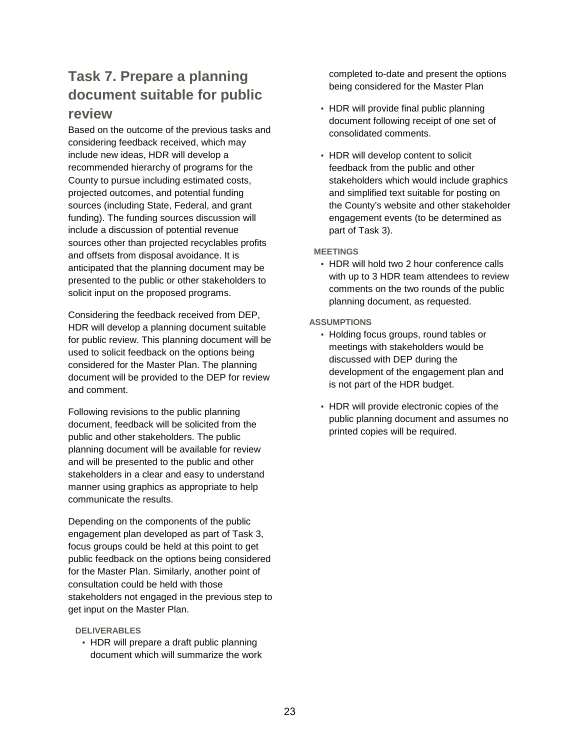# **Task 7. Prepare a planning document suitable for public review**

Based on the outcome of the previous tasks and considering feedback received, which may include new ideas, HDR will develop a recommended hierarchy of programs for the County to pursue including estimated costs, projected outcomes, and potential funding sources (including State, Federal, and grant funding). The funding sources discussion will include a discussion of potential revenue sources other than projected recyclables profits and offsets from disposal avoidance. It is anticipated that the planning document may be presented to the public or other stakeholders to solicit input on the proposed programs.

Considering the feedback received from DEP, HDR will develop a planning document suitable for public review. This planning document will be used to solicit feedback on the options being considered for the Master Plan. The planning document will be provided to the DEP for review and comment.

Following revisions to the public planning document, feedback will be solicited from the public and other stakeholders. The public planning document will be available for review and will be presented to the public and other stakeholders in a clear and easy to understand manner using graphics as appropriate to help communicate the results.

Depending on the components of the public engagement plan developed as part of Task 3, focus groups could be held at this point to get public feedback on the options being considered for the Master Plan. Similarly, another point of consultation could be held with those stakeholders not engaged in the previous step to get input on the Master Plan.

#### **DELIVERABLES**

• HDR will prepare a draft public planning document which will summarize the work completed to-date and present the options being considered for the Master Plan

- HDR will provide final public planning document following receipt of one set of consolidated comments.
- HDR will develop content to solicit feedback from the public and other stakeholders which would include graphics and simplified text suitable for posting on the County's website and other stakeholder engagement events (to be determined as part of Task 3).

#### **MEETINGS**

• HDR will hold two 2 hour conference calls with up to 3 HDR team attendees to review comments on the two rounds of the public planning document, as requested.

- Holding focus groups, round tables or meetings with stakeholders would be discussed with DEP during the development of the engagement plan and is not part of the HDR budget.
- HDR will provide electronic copies of the public planning document and assumes no printed copies will be required.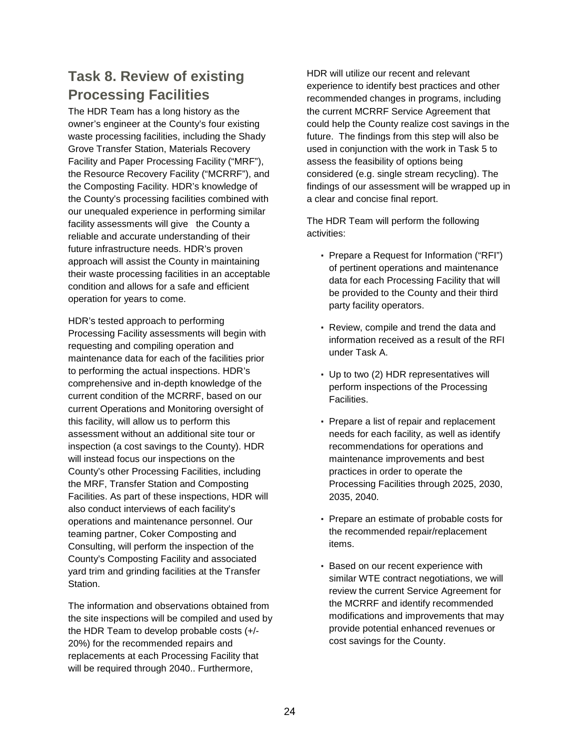# **Task 8. Review of existing Processing Facilities**

The HDR Team has a long history as the owner's engineer at the County's four existing waste processing facilities, including the Shady Grove Transfer Station, Materials Recovery Facility and Paper Processing Facility ("MRF"), the Resource Recovery Facility ("MCRRF"), and the Composting Facility. HDR's knowledge of the County's processing facilities combined with our unequaled experience in performing similar facility assessments will give the County a reliable and accurate understanding of their future infrastructure needs. HDR's proven approach will assist the County in maintaining their waste processing facilities in an acceptable condition and allows for a safe and efficient operation for years to come.

HDR's tested approach to performing Processing Facility assessments will begin with requesting and compiling operation and maintenance data for each of the facilities prior to performing the actual inspections. HDR's comprehensive and in-depth knowledge of the current condition of the MCRRF, based on our current Operations and Monitoring oversight of this facility, will allow us to perform this assessment without an additional site tour or inspection (a cost savings to the County). HDR will instead focus our inspections on the County's other Processing Facilities, including the MRF, Transfer Station and Composting Facilities. As part of these inspections, HDR will also conduct interviews of each facility's operations and maintenance personnel. Our teaming partner, Coker Composting and Consulting, will perform the inspection of the County's Composting Facility and associated yard trim and grinding facilities at the Transfer Station.

The information and observations obtained from the site inspections will be compiled and used by the HDR Team to develop probable costs (+/- 20%) for the recommended repairs and replacements at each Processing Facility that will be required through 2040.. Furthermore,

HDR will utilize our recent and relevant experience to identify best practices and other recommended changes in programs, including the current MCRRF Service Agreement that could help the County realize cost savings in the future. The findings from this step will also be used in conjunction with the work in Task 5 to assess the feasibility of options being considered (e.g. single stream recycling). The findings of our assessment will be wrapped up in a clear and concise final report.

The HDR Team will perform the following activities:

- Prepare a Request for Information ("RFI") of pertinent operations and maintenance data for each Processing Facility that will be provided to the County and their third party facility operators.
- Review, compile and trend the data and information received as a result of the RFI under Task A.
- Up to two (2) HDR representatives will perform inspections of the Processing Facilities.
- Prepare a list of repair and replacement needs for each facility, as well as identify recommendations for operations and maintenance improvements and best practices in order to operate the Processing Facilities through 2025, 2030, 2035, 2040.
- Prepare an estimate of probable costs for the recommended repair/replacement items.
- Based on our recent experience with similar WTE contract negotiations, we will review the current Service Agreement for the MCRRF and identify recommended modifications and improvements that may provide potential enhanced revenues or cost savings for the County.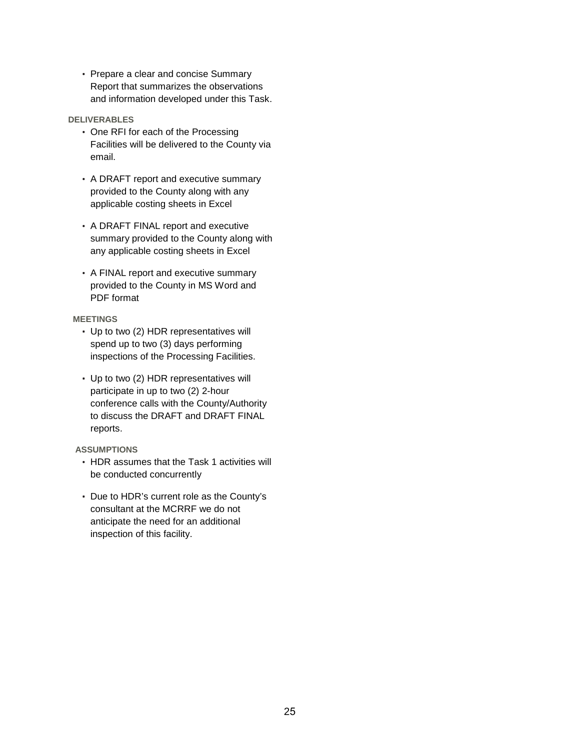• Prepare a clear and concise Summary Report that summarizes the observations and information developed under this Task.

#### **DELIVERABLES**

- One RFI for each of the Processing Facilities will be delivered to the County via email.
- A DRAFT report and executive summary provided to the County along with any applicable costing sheets in Excel
- A DRAFT FINAL report and executive summary provided to the County along with any applicable costing sheets in Excel
- A FINAL report and executive summary provided to the County in MS Word and PDF format

## **MEETINGS**

- Up to two (2) HDR representatives will spend up to two (3) days performing inspections of the Processing Facilities.
- Up to two (2) HDR representatives will participate in up to two (2) 2-hour conference calls with the County/Authority to discuss the DRAFT and DRAFT FINAL reports.

- HDR assumes that the Task 1 activities will be conducted concurrently
- Due to HDR's current role as the County's consultant at the MCRRF we do not anticipate the need for an additional inspection of this facility.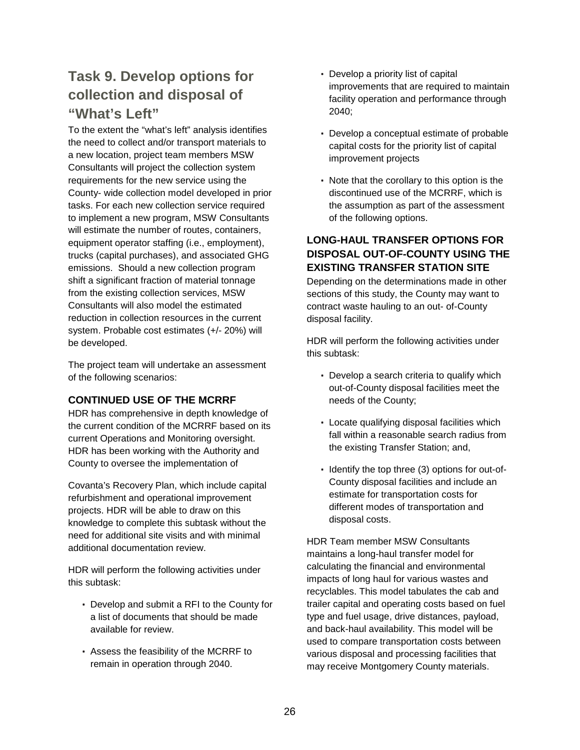# **Task 9. Develop options for collection and disposal of "What's Left"**

To the extent the "what's left" analysis identifies the need to collect and/or transport materials to a new location, project team members MSW Consultants will project the collection system requirements for the new service using the County- wide collection model developed in prior tasks. For each new collection service required to implement a new program, MSW Consultants will estimate the number of routes, containers, equipment operator staffing (i.e., employment), trucks (capital purchases), and associated GHG emissions. Should a new collection program shift a significant fraction of material tonnage from the existing collection services, MSW Consultants will also model the estimated reduction in collection resources in the current system. Probable cost estimates (+/- 20%) will be developed.

The project team will undertake an assessment of the following scenarios:

## **CONTINUED USE OF THE MCRRF**

HDR has comprehensive in depth knowledge of the current condition of the MCRRF based on its current Operations and Monitoring oversight. HDR has been working with the Authority and County to oversee the implementation of

Covanta's Recovery Plan, which include capital refurbishment and operational improvement projects. HDR will be able to draw on this knowledge to complete this subtask without the need for additional site visits and with minimal additional documentation review.

HDR will perform the following activities under this subtask:

- Develop and submit a RFI to the County for a list of documents that should be made available for review.
- Assess the feasibility of the MCRRF to remain in operation through 2040.
- Develop a priority list of capital improvements that are required to maintain facility operation and performance through 2040;
- Develop a conceptual estimate of probable capital costs for the priority list of capital improvement projects
- Note that the corollary to this option is the discontinued use of the MCRRF, which is the assumption as part of the assessment of the following options.

# **LONG-HAUL TRANSFER OPTIONS FOR DISPOSAL OUT-OF-COUNTY USING THE EXISTING TRANSFER STATION SITE**

Depending on the determinations made in other sections of this study, the County may want to contract waste hauling to an out- of-County disposal facility.

HDR will perform the following activities under this subtask:

- Develop a search criteria to qualify which out-of-County disposal facilities meet the needs of the County;
- Locate qualifying disposal facilities which fall within a reasonable search radius from the existing Transfer Station; and,
- Identify the top three (3) options for out-of-County disposal facilities and include an estimate for transportation costs for different modes of transportation and disposal costs.

HDR Team member MSW Consultants maintains a long-haul transfer model for calculating the financial and environmental impacts of long haul for various wastes and recyclables. This model tabulates the cab and trailer capital and operating costs based on fuel type and fuel usage, drive distances, payload, and back-haul availability. This model will be used to compare transportation costs between various disposal and processing facilities that may receive Montgomery County materials.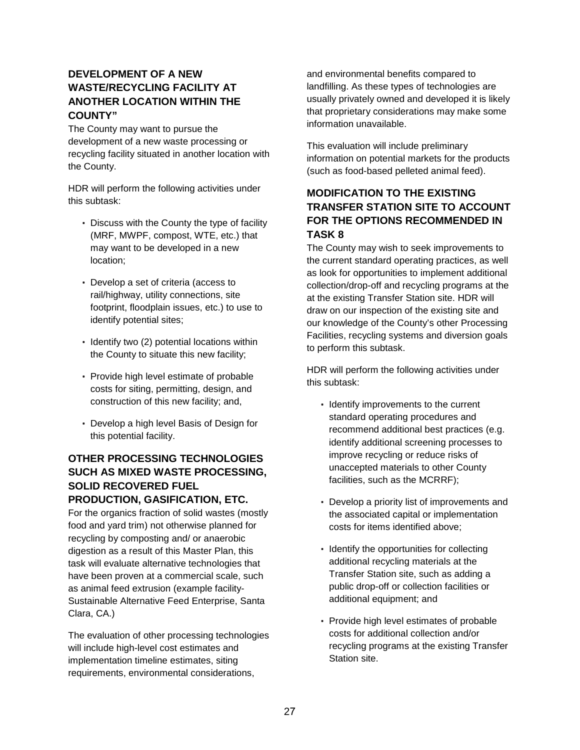# **DEVELOPMENT OF A NEW WASTE/RECYCLING FACILITY AT ANOTHER LOCATION WITHIN THE COUNTY"**

The County may want to pursue the development of a new waste processing or recycling facility situated in another location with the County.

HDR will perform the following activities under this subtask:

- Discuss with the County the type of facility (MRF, MWPF, compost, WTE, etc.) that may want to be developed in a new location;
- Develop a set of criteria (access to rail/highway, utility connections, site footprint, floodplain issues, etc.) to use to identify potential sites;
- Identify two (2) potential locations within the County to situate this new facility;
- Provide high level estimate of probable costs for siting, permitting, design, and construction of this new facility; and,
- Develop a high level Basis of Design for this potential facility.

# **OTHER PROCESSING TECHNOLOGIES SUCH AS MIXED WASTE PROCESSING, SOLID RECOVERED FUEL PRODUCTION, GASIFICATION, ETC.**

For the organics fraction of solid wastes (mostly food and yard trim) not otherwise planned for recycling by composting and/ or anaerobic digestion as a result of this Master Plan, this task will evaluate alternative technologies that have been proven at a commercial scale, such as animal feed extrusion (example facility-Sustainable Alternative Feed Enterprise, Santa Clara, CA.)

The evaluation of other processing technologies will include high-level cost estimates and implementation timeline estimates, siting requirements, environmental considerations,

and environmental benefits compared to landfilling. As these types of technologies are usually privately owned and developed it is likely that proprietary considerations may make some information unavailable.

This evaluation will include preliminary information on potential markets for the products (such as food-based pelleted animal feed).

# **MODIFICATION TO THE EXISTING TRANSFER STATION SITE TO ACCOUNT FOR THE OPTIONS RECOMMENDED IN TASK 8**

The County may wish to seek improvements to the current standard operating practices, as well as look for opportunities to implement additional collection/drop-off and recycling programs at the at the existing Transfer Station site. HDR will draw on our inspection of the existing site and our knowledge of the County's other Processing Facilities, recycling systems and diversion goals to perform this subtask.

HDR will perform the following activities under this subtask:

- Identify improvements to the current standard operating procedures and recommend additional best practices (e.g. identify additional screening processes to improve recycling or reduce risks of unaccepted materials to other County facilities, such as the MCRRF);
- Develop a priority list of improvements and the associated capital or implementation costs for items identified above;
- Identify the opportunities for collecting additional recycling materials at the Transfer Station site, such as adding a public drop-off or collection facilities or additional equipment; and
- Provide high level estimates of probable costs for additional collection and/or recycling programs at the existing Transfer Station site.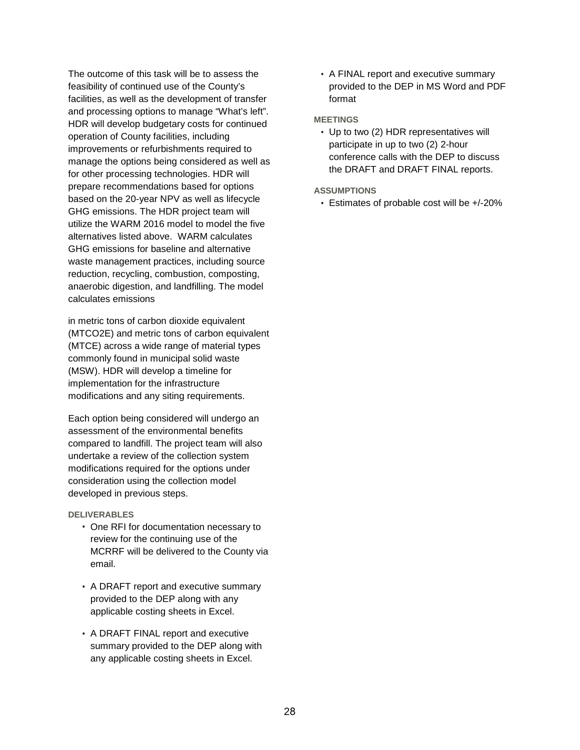The outcome of this task will be to assess the feasibility of continued use of the County's facilities, as well as the development of transfer and processing options to manage "What's left". HDR will develop budgetary costs for continued operation of County facilities, including improvements or refurbishments required to manage the options being considered as well as for other processing technologies. HDR will prepare recommendations based for options based on the 20-year NPV as well as lifecycle GHG emissions. The HDR project team will utilize the WARM 2016 model to model the five alternatives listed above. WARM calculates GHG emissions for baseline and alternative waste management practices, including source reduction, recycling, combustion, composting, anaerobic digestion, and landfilling. The model calculates emissions

in metric tons of carbon dioxide equivalent (MTCO2E) and metric tons of carbon equivalent (MTCE) across a wide range of material types commonly found in municipal solid waste (MSW). HDR will develop a timeline for implementation for the infrastructure modifications and any siting requirements.

Each option being considered will undergo an assessment of the environmental benefits compared to landfill. The project team will also undertake a review of the collection system modifications required for the options under consideration using the collection model developed in previous steps.

#### **DELIVERABLES**

- One RFI for documentation necessary to review for the continuing use of the MCRRF will be delivered to the County via email.
- A DRAFT report and executive summary provided to the DEP along with any applicable costing sheets in Excel.
- A DRAFT FINAL report and executive summary provided to the DEP along with any applicable costing sheets in Excel.

• A FINAL report and executive summary provided to the DEP in MS Word and PDF format

#### **MEETINGS**

• Up to two (2) HDR representatives will participate in up to two (2) 2-hour conference calls with the DEP to discuss the DRAFT and DRAFT FINAL reports.

#### **ASSUMPTIONS**

• Estimates of probable cost will be +/-20%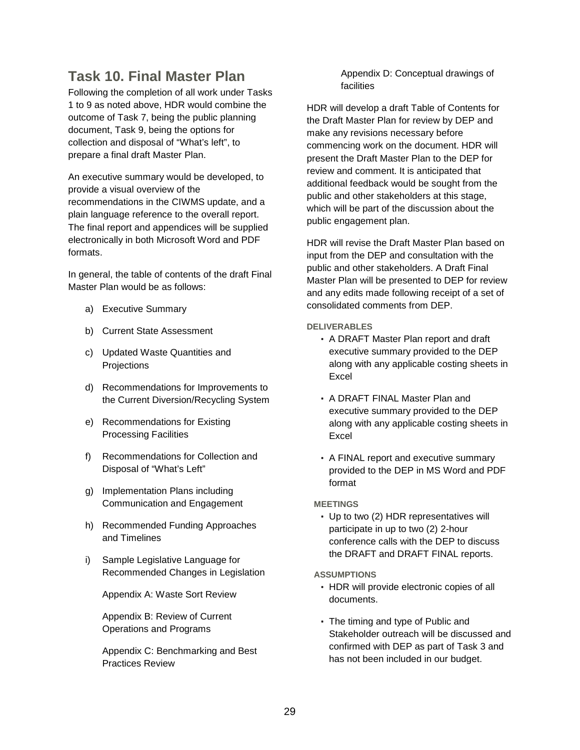# **Task 10. Final Master Plan**

Following the completion of all work under Tasks 1 to 9 as noted above, HDR would combine the outcome of Task 7, being the public planning document, Task 9, being the options for collection and disposal of "What's left", to prepare a final draft Master Plan.

An executive summary would be developed, to provide a visual overview of the recommendations in the CIWMS update, and a plain language reference to the overall report. The final report and appendices will be supplied electronically in both Microsoft Word and PDF formats.

In general, the table of contents of the draft Final Master Plan would be as follows:

- a) Executive Summary
- b) Current State Assessment
- c) Updated Waste Quantities and **Projections**
- d) Recommendations for Improvements to the Current Diversion/Recycling System
- e) Recommendations for Existing Processing Facilities
- f) Recommendations for Collection and Disposal of "What's Left"
- g) Implementation Plans including Communication and Engagement
- h) Recommended Funding Approaches and Timelines
- i) Sample Legislative Language for Recommended Changes in Legislation

Appendix A: Waste Sort Review

Appendix B: Review of Current Operations and Programs

Appendix C: Benchmarking and Best Practices Review

Appendix D: Conceptual drawings of facilities

HDR will develop a draft Table of Contents for the Draft Master Plan for review by DEP and make any revisions necessary before commencing work on the document. HDR will present the Draft Master Plan to the DEP for review and comment. It is anticipated that additional feedback would be sought from the public and other stakeholders at this stage, which will be part of the discussion about the public engagement plan.

HDR will revise the Draft Master Plan based on input from the DEP and consultation with the public and other stakeholders. A Draft Final Master Plan will be presented to DEP for review and any edits made following receipt of a set of consolidated comments from DEP.

## **DELIVERABLES**

- A DRAFT Master Plan report and draft executive summary provided to the DEP along with any applicable costing sheets in Excel
- A DRAFT FINAL Master Plan and executive summary provided to the DEP along with any applicable costing sheets in Excel
- A FINAL report and executive summary provided to the DEP in MS Word and PDF format

#### **MEETINGS**

• Up to two (2) HDR representatives will participate in up to two (2) 2-hour conference calls with the DEP to discuss the DRAFT and DRAFT FINAL reports.

- HDR will provide electronic copies of all documents.
- The timing and type of Public and Stakeholder outreach will be discussed and confirmed with DEP as part of Task 3 and has not been included in our budget.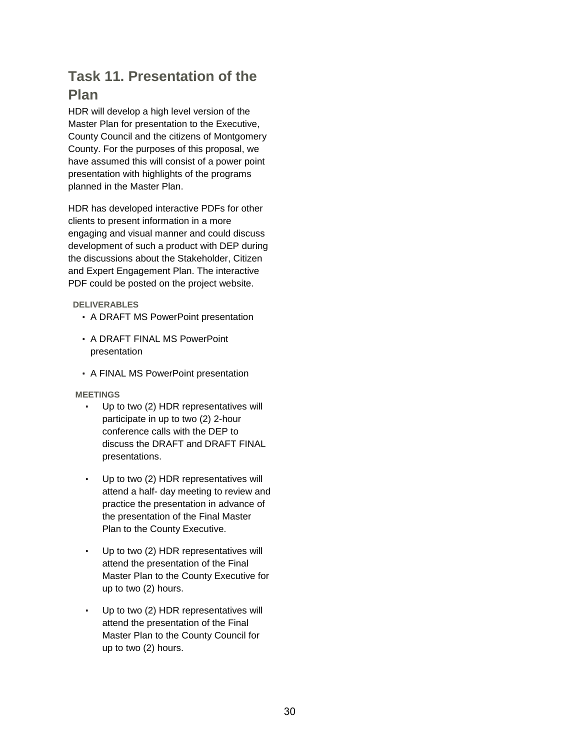# **Task 11. Presentation of the Plan**

HDR will develop a high level version of the Master Plan for presentation to the Executive, County Council and the citizens of Montgomery County. For the purposes of this proposal, we have assumed this will consist of a power point presentation with highlights of the programs planned in the Master Plan.

HDR has developed interactive PDFs for other clients to present information in a more engaging and visual manner and could discuss development of such a product with DEP during the discussions about the Stakeholder, Citizen and Expert Engagement Plan. The interactive PDF could be posted on the project website.

 **DELIVERABLES** 

- A DRAFT MS PowerPoint presentation
- A DRAFT FINAL MS PowerPoint presentation
- A FINAL MS PowerPoint presentation

 **MEETINGS** 

- Up to two (2) HDR representatives will participate in up to two (2) 2-hour conference calls with the DEP to discuss the DRAFT and DRAFT FINAL presentations.
- Up to two (2) HDR representatives will attend a half- day meeting to review and practice the presentation in advance of the presentation of the Final Master Plan to the County Executive.
- Up to two (2) HDR representatives will attend the presentation of the Final Master Plan to the County Executive for up to two (2) hours.
- Up to two (2) HDR representatives will attend the presentation of the Final Master Plan to the County Council for up to two (2) hours.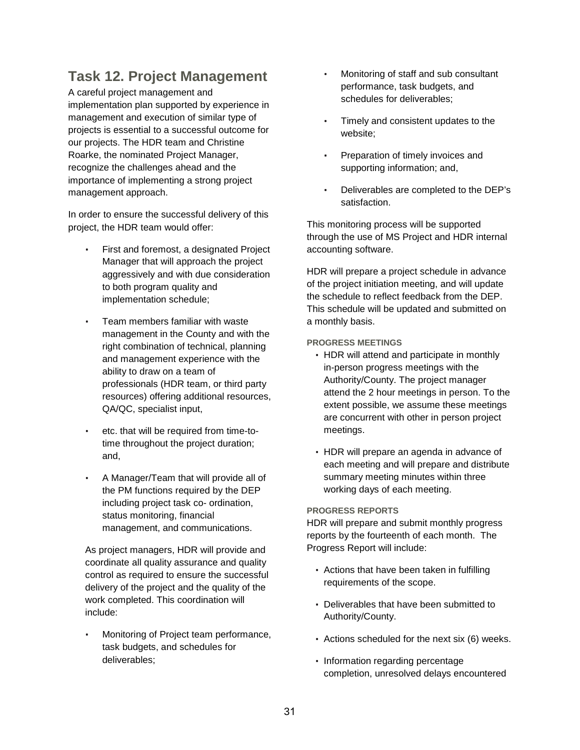# **Task 12. Project Management**

A careful project management and implementation plan supported by experience in management and execution of similar type of projects is essential to a successful outcome for our projects. The HDR team and Christine Roarke, the nominated Project Manager, recognize the challenges ahead and the importance of implementing a strong project management approach.

In order to ensure the successful delivery of this project, the HDR team would offer:

- First and foremost, a designated Project Manager that will approach the project aggressively and with due consideration to both program quality and implementation schedule;
- Team members familiar with waste management in the County and with the right combination of technical, planning and management experience with the ability to draw on a team of professionals (HDR team, or third party resources) offering additional resources, QA/QC, specialist input,
- etc. that will be required from time-totime throughout the project duration; and,
- A Manager/Team that will provide all of the PM functions required by the DEP including project task co- ordination, status monitoring, financial management, and communications.

As project managers, HDR will provide and coordinate all quality assurance and quality control as required to ensure the successful delivery of the project and the quality of the work completed. This coordination will include:

• Monitoring of Project team performance, task budgets, and schedules for deliverables;

- Monitoring of staff and sub consultant performance, task budgets, and schedules for deliverables;
- Timely and consistent updates to the website;
- Preparation of timely invoices and supporting information; and,
- Deliverables are completed to the DEP's satisfaction.

This monitoring process will be supported through the use of MS Project and HDR internal accounting software.

HDR will prepare a project schedule in advance of the project initiation meeting, and will update the schedule to reflect feedback from the DEP. This schedule will be updated and submitted on a monthly basis.

## **PROGRESS MEETINGS**

- HDR will attend and participate in monthly in-person progress meetings with the Authority/County. The project manager attend the 2 hour meetings in person. To the extent possible, we assume these meetings are concurrent with other in person project meetings.
- HDR will prepare an agenda in advance of each meeting and will prepare and distribute summary meeting minutes within three working days of each meeting.

#### **PROGRESS REPORTS**

HDR will prepare and submit monthly progress reports by the fourteenth of each month. The Progress Report will include:

- Actions that have been taken in fulfilling requirements of the scope.
- Deliverables that have been submitted to Authority/County.
- Actions scheduled for the next six (6) weeks.
- Information regarding percentage completion, unresolved delays encountered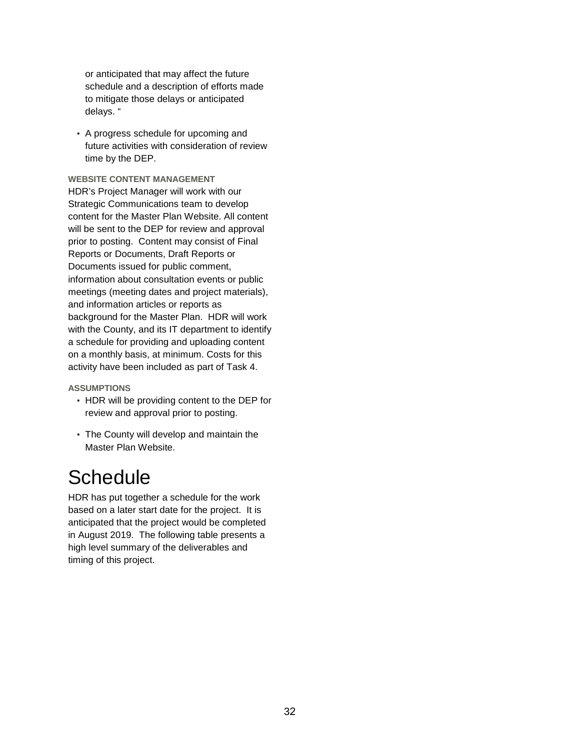or anticipated that may affect the future schedule and a description of efforts made to mitigate those delays or anticipated delays. "

• A progress schedule for upcoming and future activities with consideration of review time by the DEP.

**WEBSITE CONTENT MANAGEMENT**  HDR's Project Manager will work with our Strategic Communications team to develop content for the Master Plan Website. All content will be sent to the DEP for review and approval prior to posting. Content may consist of Final Reports or Documents, Draft Reports or Documents issued for public comment, information about consultation events or public meetings (meeting dates and project materials), and information articles or reports as background for the Master Plan. HDR will work with the County, and its IT department to identify a schedule for providing and uploading content on a monthly basis, at minimum. Costs for this activity have been included as part of Task 4.

#### **ASSUMPTIONS**

- HDR will be providing content to the DEP for review and approval prior to posting.
- The County will develop and maintain the Master Plan Website.

# **Schedule**

HDR has put together a schedule for the work based on a later start date for the project. It is anticipated that the project would be completed in August 2019. The following table presents a high level summary of the deliverables and timing of this project.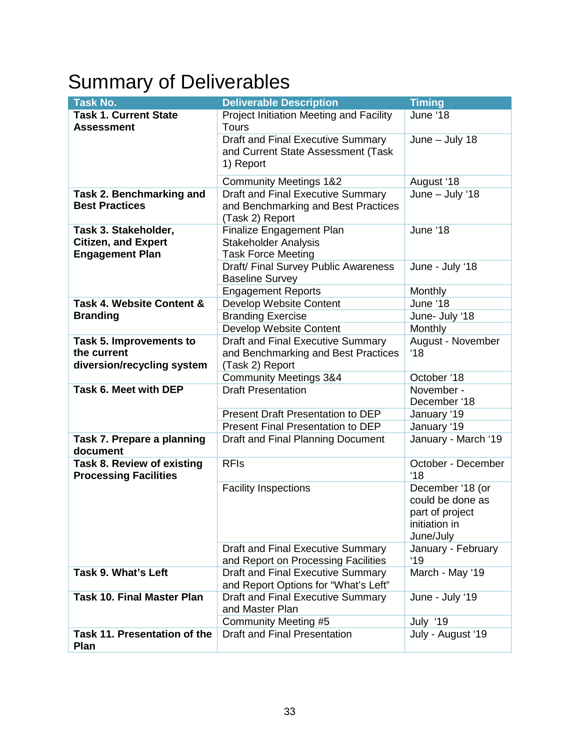# Summary of Deliverables

| <b>Task No.</b>                                                              | <b>Deliverable Description</b>                                                                     | <b>Timing</b>                                                                         |  |  |  |  |
|------------------------------------------------------------------------------|----------------------------------------------------------------------------------------------------|---------------------------------------------------------------------------------------|--|--|--|--|
| <b>Task 1. Current State</b><br><b>Assessment</b>                            | Project Initiation Meeting and Facility<br><b>Tours</b>                                            | June '18                                                                              |  |  |  |  |
|                                                                              | <b>Draft and Final Executive Summary</b><br>and Current State Assessment (Task<br>1) Report        | $June - July 18$                                                                      |  |  |  |  |
|                                                                              | <b>Community Meetings 1&amp;2</b>                                                                  | August '18                                                                            |  |  |  |  |
| Task 2. Benchmarking and<br><b>Best Practices</b>                            | <b>Draft and Final Executive Summary</b><br>and Benchmarking and Best Practices<br>(Task 2) Report | June - July '18                                                                       |  |  |  |  |
| Task 3. Stakeholder,<br><b>Citizen, and Expert</b><br><b>Engagement Plan</b> | Finalize Engagement Plan<br><b>Stakeholder Analysis</b><br><b>Task Force Meeting</b>               | June '18                                                                              |  |  |  |  |
|                                                                              | Draft/ Final Survey Public Awareness<br><b>Baseline Survey</b>                                     | June - July '18                                                                       |  |  |  |  |
|                                                                              | <b>Engagement Reports</b>                                                                          | Monthly                                                                               |  |  |  |  |
| Task 4. Website Content &                                                    | Develop Website Content                                                                            | June '18                                                                              |  |  |  |  |
| <b>Branding</b>                                                              | <b>Branding Exercise</b>                                                                           | June- July '18                                                                        |  |  |  |  |
|                                                                              | Develop Website Content                                                                            | Monthly                                                                               |  |  |  |  |
| <b>Task 5. Improvements to</b><br>the current<br>diversion/recycling system  | <b>Draft and Final Executive Summary</b><br>and Benchmarking and Best Practices<br>(Task 2) Report | August - November<br>'18                                                              |  |  |  |  |
|                                                                              | <b>Community Meetings 3&amp;4</b>                                                                  | October '18                                                                           |  |  |  |  |
| Task 6. Meet with DEP                                                        | <b>Draft Presentation</b>                                                                          | November -<br>December '18                                                            |  |  |  |  |
|                                                                              | <b>Present Draft Presentation to DEP</b>                                                           | January '19                                                                           |  |  |  |  |
|                                                                              | Present Final Presentation to DEP                                                                  | January '19                                                                           |  |  |  |  |
| Task 7. Prepare a planning<br>document                                       | Draft and Final Planning Document                                                                  | January - March '19                                                                   |  |  |  |  |
| Task 8. Review of existing<br><b>Processing Facilities</b>                   | <b>RFIs</b>                                                                                        | October - December<br>'18                                                             |  |  |  |  |
|                                                                              | <b>Facility Inspections</b>                                                                        | December '18 (or<br>could be done as<br>part of project<br>initiation in<br>June/July |  |  |  |  |
|                                                                              | <b>Draft and Final Executive Summary</b><br>and Report on Processing Facilities                    | January - February<br>'19                                                             |  |  |  |  |
| Task 9. What's Left                                                          | Draft and Final Executive Summary<br>and Report Options for "What's Left"                          | March - May '19                                                                       |  |  |  |  |
| <b>Task 10. Final Master Plan</b>                                            | Draft and Final Executive Summary<br>and Master Plan                                               | June - July '19                                                                       |  |  |  |  |
|                                                                              | <b>Community Meeting #5</b>                                                                        | July '19                                                                              |  |  |  |  |
| Task 11. Presentation of the<br>Plan                                         | <b>Draft and Final Presentation</b>                                                                | July - August '19                                                                     |  |  |  |  |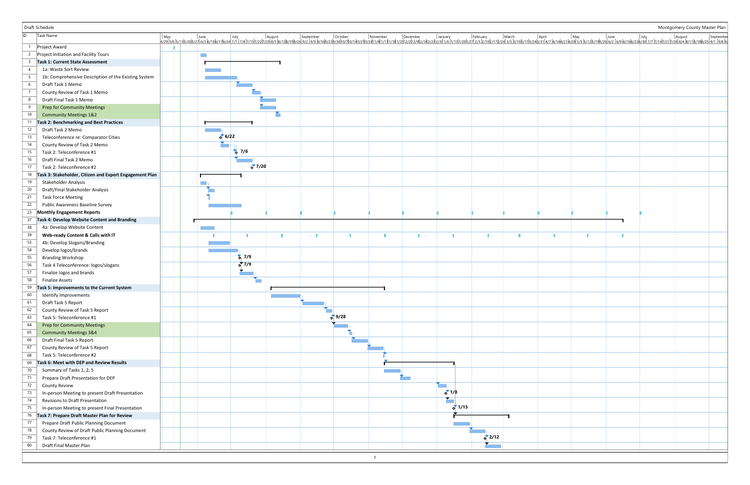|                 | Draft Schedule                                          |           |                   |  |                    |                |                       |                    |  |  | Montgomery County Master Plan                                                                                                                                                                                                  |  |
|-----------------|---------------------------------------------------------|-----------|-------------------|--|--------------------|----------------|-----------------------|--------------------|--|--|--------------------------------------------------------------------------------------------------------------------------------------------------------------------------------------------------------------------------------|--|
| ID              | Task Name                                               |           |                   |  |                    |                |                       |                    |  |  | 098/19/10/2012/12/2012/2012/10/2012/12/2012/2012/10/2012/12/2012/10/2012/12/2012/10/2012/12/2012/10/2012/12/2012/10/2012/12/2012/12/2012/12/2012/12/2012/10/2012/12/2012/12/2012/12/2012/12/2012/12/2012/12/2012/10/2012/12/20 |  |
|                 |                                                         |           |                   |  |                    |                |                       |                    |  |  |                                                                                                                                                                                                                                |  |
| $\overline{2}$  | Project Award<br>Project Initiation and Facility Tours  |           |                   |  |                    |                |                       |                    |  |  |                                                                                                                                                                                                                                |  |
| 3               | <b>Task 1: Current State Assessment</b>                 | $\sim 10$ |                   |  |                    |                |                       |                    |  |  |                                                                                                                                                                                                                                |  |
|                 | 1a: Waste Sort Review                                   |           |                   |  |                    |                |                       |                    |  |  |                                                                                                                                                                                                                                |  |
|                 |                                                         |           |                   |  |                    |                |                       |                    |  |  |                                                                                                                                                                                                                                |  |
| - 6             | 1b: Comprehensive Description of the Existing System    |           |                   |  |                    |                |                       |                    |  |  |                                                                                                                                                                                                                                |  |
|                 | Draft Task 1 Memo                                       |           |                   |  |                    |                |                       |                    |  |  |                                                                                                                                                                                                                                |  |
| -8              | County Review of Task 1 Memo                            |           |                   |  |                    |                |                       |                    |  |  |                                                                                                                                                                                                                                |  |
| -9              | Draft Final Task 1 Memo                                 |           |                   |  |                    |                |                       |                    |  |  |                                                                                                                                                                                                                                |  |
|                 | <b>Prep for Community Meetings</b>                      |           |                   |  |                    |                |                       |                    |  |  |                                                                                                                                                                                                                                |  |
| 10 <sup>°</sup> | <b>Community Meetings 1&amp;2</b>                       |           |                   |  |                    |                |                       |                    |  |  |                                                                                                                                                                                                                                |  |
| 11              | <b>Task 2: Benchmarking and Best Practices</b>          |           |                   |  |                    |                |                       |                    |  |  |                                                                                                                                                                                                                                |  |
| 12              | Draft Task 2 Memo                                       |           | 6/22              |  |                    |                |                       |                    |  |  |                                                                                                                                                                                                                                |  |
| 13              | Teleconference re: Comparator Cities                    |           |                   |  |                    |                |                       |                    |  |  |                                                                                                                                                                                                                                |  |
| 14              | County Review of Task 2 Memo                            |           | $\frac{1}{2}$ 7/6 |  |                    |                |                       |                    |  |  |                                                                                                                                                                                                                                |  |
| 15              | Task 2: Teleconference #1                               |           |                   |  |                    |                |                       |                    |  |  |                                                                                                                                                                                                                                |  |
| 16              | Draft Final Task 2 Memo                                 |           | $\sqrt[3]{7/20}$  |  |                    |                |                       |                    |  |  |                                                                                                                                                                                                                                |  |
| 17              | Task 2: Teleconference #2                               |           |                   |  |                    |                |                       |                    |  |  |                                                                                                                                                                                                                                |  |
| 18              | Task 3: Stakeholder, Citizen and Expert Engagement Plan |           |                   |  |                    |                |                       |                    |  |  |                                                                                                                                                                                                                                |  |
| 19              | Stakeholder Analysis                                    |           |                   |  |                    |                |                       |                    |  |  |                                                                                                                                                                                                                                |  |
| 20              | Draft/Final Stakeholder Analysis                        |           |                   |  |                    |                |                       |                    |  |  |                                                                                                                                                                                                                                |  |
| 21              | <b>Task Force Meeting</b>                               |           |                   |  |                    |                |                       |                    |  |  |                                                                                                                                                                                                                                |  |
| 22              | Public Awareness Baseline Survey                        |           |                   |  |                    |                |                       |                    |  |  |                                                                                                                                                                                                                                |  |
|                 | 23 Monthly Engagement Reports                           |           |                   |  |                    |                |                       |                    |  |  |                                                                                                                                                                                                                                |  |
| 37              | Task 4: Develop Website Content and Branding            |           |                   |  |                    |                |                       |                    |  |  |                                                                                                                                                                                                                                |  |
| 38              | 4a: Develop Website Content                             |           |                   |  |                    |                |                       |                    |  |  |                                                                                                                                                                                                                                |  |
| 39              | Web-ready Content & Calls with IT                       |           |                   |  | ×                  |                |                       |                    |  |  |                                                                                                                                                                                                                                |  |
| 53              | 4b: Develop Slogans/Branding                            |           |                   |  |                    |                |                       |                    |  |  |                                                                                                                                                                                                                                |  |
| 54              | Develop logos/brands                                    |           |                   |  |                    |                |                       |                    |  |  |                                                                                                                                                                                                                                |  |
| 55              | <b>Branding Workshop</b>                                |           | $\frac{1}{2}$ 7/9 |  |                    |                |                       |                    |  |  |                                                                                                                                                                                                                                |  |
| 56              | Task 4 Teleconference: logos/slogans                    |           | $\sqrt[3]{7/9}$   |  |                    |                |                       |                    |  |  |                                                                                                                                                                                                                                |  |
| 57              | Finalize logos and brands                               |           |                   |  |                    |                |                       |                    |  |  |                                                                                                                                                                                                                                |  |
| 58              | <b>Finalize Assets</b>                                  |           |                   |  |                    |                |                       |                    |  |  |                                                                                                                                                                                                                                |  |
|                 | 59 Task 5: Improvements to the Current System           |           |                   |  |                    |                |                       |                    |  |  |                                                                                                                                                                                                                                |  |
| 60              | Identify Improvements                                   |           |                   |  |                    |                |                       |                    |  |  |                                                                                                                                                                                                                                |  |
| 61              | Draft Task 5 Report                                     |           |                   |  |                    |                |                       |                    |  |  |                                                                                                                                                                                                                                |  |
| 62              | County Review of Task 5 Report                          |           |                   |  |                    |                |                       |                    |  |  |                                                                                                                                                                                                                                |  |
| 63              | Task 5: Teleconference #1                               |           |                   |  | $\frac{1}{2}$ 9/28 |                |                       |                    |  |  |                                                                                                                                                                                                                                |  |
| 64              | <b>Prep for Community Meetings</b>                      |           |                   |  |                    |                |                       |                    |  |  |                                                                                                                                                                                                                                |  |
| 65              | <b>Community Meetings 3&amp;4</b>                       |           |                   |  |                    |                |                       |                    |  |  |                                                                                                                                                                                                                                |  |
| 66              | Draft Final Task 5 Report                               |           |                   |  |                    |                |                       |                    |  |  |                                                                                                                                                                                                                                |  |
| 67              | County Review of Task 5 Report                          |           |                   |  |                    |                |                       |                    |  |  |                                                                                                                                                                                                                                |  |
| 68              | Task 5: Teleconference #2                               |           |                   |  |                    |                |                       |                    |  |  |                                                                                                                                                                                                                                |  |
| 69              | Task 6: Meet with DEP and Review Results                |           |                   |  |                    |                |                       |                    |  |  |                                                                                                                                                                                                                                |  |
| 70              | Summary of Tasks 1, 2, 5                                |           |                   |  |                    |                |                       |                    |  |  |                                                                                                                                                                                                                                |  |
| 71              | Prepare Draft Presentation for DEP                      |           |                   |  |                    |                |                       |                    |  |  |                                                                                                                                                                                                                                |  |
| 72              | <b>County Review</b>                                    |           |                   |  |                    |                |                       |                    |  |  |                                                                                                                                                                                                                                |  |
| 73              | In-person Meeting to present Draft Presentation         |           |                   |  |                    |                | $\leftrightarrow 1/8$ |                    |  |  |                                                                                                                                                                                                                                |  |
| 74              | Revisions to Draft Presentation                         |           |                   |  |                    |                |                       |                    |  |  |                                                                                                                                                                                                                                |  |
| 75              | In-person Meeting to present Final Presentation         |           |                   |  |                    |                | $\sqrt{1/15}$         |                    |  |  |                                                                                                                                                                                                                                |  |
| 76              | Task 7: Prepare Draft Master Plan for Review            |           |                   |  |                    |                |                       |                    |  |  |                                                                                                                                                                                                                                |  |
| 77              | Prepare Draft Public Planning Document                  |           |                   |  |                    |                |                       |                    |  |  |                                                                                                                                                                                                                                |  |
| 78              | County Review of Draft Public Planning Document         |           |                   |  |                    |                |                       |                    |  |  |                                                                                                                                                                                                                                |  |
| 79              | Task 7: Teleconference #1                               |           |                   |  |                    |                |                       | $\frac{1}{2}$ 2/12 |  |  |                                                                                                                                                                                                                                |  |
| 80              | Draft Final Master Plan                                 |           |                   |  |                    |                |                       |                    |  |  |                                                                                                                                                                                                                                |  |
|                 |                                                         |           |                   |  |                    | $\overline{1}$ |                       |                    |  |  |                                                                                                                                                                                                                                |  |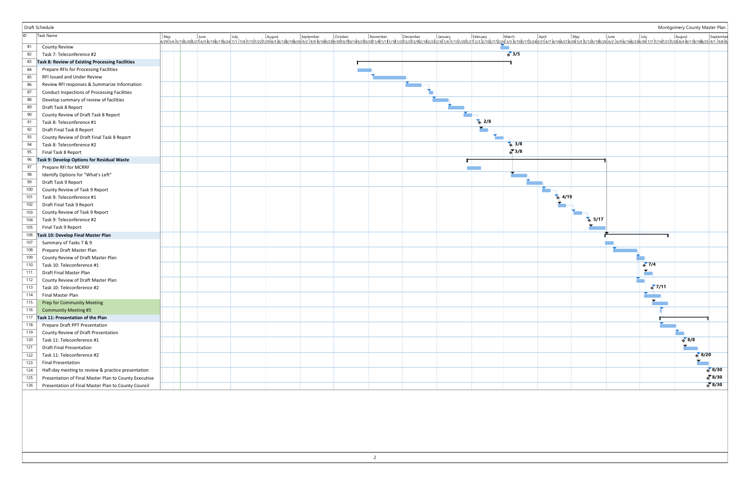|     | Draft Schedule                                        |  |  |  |  |                          |                       |                        |                    |                    | Montgomery County Master Plan |                    |
|-----|-------------------------------------------------------|--|--|--|--|--------------------------|-----------------------|------------------------|--------------------|--------------------|-------------------------------|--------------------|
| ID  | Task Name                                             |  |  |  |  |                          |                       |                        |                    |                    |                               |                    |
| 81  | <b>County Review</b>                                  |  |  |  |  |                          |                       |                        |                    |                    |                               |                    |
| 82  | Task 7: Teleconference #2                             |  |  |  |  |                          | $\frac{1}{2}$ 3/5     |                        |                    |                    |                               |                    |
| 83  | Task 8: Review of Existing Processing Facilities      |  |  |  |  |                          |                       |                        |                    |                    |                               |                    |
| 84  | Prepare RFIs for Processing Facilities                |  |  |  |  |                          |                       |                        |                    |                    |                               |                    |
| 85  | RFI Issued and Under Review                           |  |  |  |  |                          |                       |                        |                    |                    |                               |                    |
| 86  | Review RFI responses & Summarize Information          |  |  |  |  |                          |                       |                        |                    |                    |                               |                    |
| 87  | <b>Conduct Inspections of Processing Facilities</b>   |  |  |  |  |                          |                       |                        |                    |                    |                               |                    |
| 88  | Develop summary of review of facilities               |  |  |  |  |                          |                       |                        |                    |                    |                               |                    |
| 89  | Draft Task 8 Report                                   |  |  |  |  |                          |                       |                        |                    |                    |                               |                    |
| 90  | County Review of Draft Task 8 Report                  |  |  |  |  |                          |                       |                        |                    |                    |                               |                    |
| 91  | Task 8: Teleconference #1                             |  |  |  |  | $\leftrightarrow$ 2/8    |                       |                        |                    |                    |                               |                    |
| 92  | Draft Final Task 8 Report                             |  |  |  |  |                          |                       |                        |                    |                    |                               |                    |
| 93  | County Review of Draft Final Task 8 Report            |  |  |  |  |                          |                       |                        |                    |                    |                               |                    |
| 94  | Task 8: Teleconference #2                             |  |  |  |  |                          | $\leftrightarrow$ 3/8 |                        |                    |                    |                               |                    |
| 95  | Final Task 8 Report                                   |  |  |  |  |                          | $\frac{1}{2}$ 3/8     |                        |                    |                    |                               |                    |
| 96  | Task 9: Develop Options for Residual Waste            |  |  |  |  |                          |                       |                        |                    |                    |                               |                    |
| 97  | Prepare RFI for MCRRF                                 |  |  |  |  | <b>Contract Contract</b> |                       |                        |                    |                    |                               |                    |
| 98  | Identify Options for "What's Left"                    |  |  |  |  |                          |                       |                        |                    |                    |                               |                    |
| 99  | Draft Task 9 Report                                   |  |  |  |  |                          |                       |                        |                    |                    |                               |                    |
| 100 | County Review of Task 9 Report                        |  |  |  |  |                          |                       |                        |                    |                    |                               |                    |
| 101 | Task 9: Teleconference #1                             |  |  |  |  |                          |                       | $\leftrightarrow$ 4/19 |                    |                    |                               |                    |
| 102 | Draft Final Task 9 Report                             |  |  |  |  |                          |                       |                        |                    |                    |                               |                    |
| 103 | County Review of Task 9 Report                        |  |  |  |  |                          |                       |                        |                    |                    |                               |                    |
| 104 | Task 9: Teleconference #2                             |  |  |  |  |                          |                       |                        | $\frac{1}{9}$ 5/17 |                    |                               |                    |
| 105 | Final Task 9 Report                                   |  |  |  |  |                          |                       |                        |                    |                    |                               |                    |
| 106 | Task 10: Develop Final Master Plan                    |  |  |  |  |                          |                       |                        |                    |                    |                               |                    |
| 107 | Summary of Tasks 7 & 9                                |  |  |  |  |                          |                       |                        |                    |                    |                               |                    |
| 108 | Prepare Draft Master Plan                             |  |  |  |  |                          |                       |                        |                    |                    |                               |                    |
| 109 | County Review of Draft Master Plan                    |  |  |  |  |                          |                       |                        |                    |                    |                               |                    |
| 110 | Task 10: Teleconference #1                            |  |  |  |  |                          |                       |                        |                    | $\frac{1}{2}$ 7/4  |                               |                    |
| 111 | Draft Final Master Plan                               |  |  |  |  |                          |                       |                        |                    |                    |                               |                    |
| 112 | County Review of Draft Master Plan                    |  |  |  |  |                          |                       |                        |                    |                    |                               |                    |
| 113 | Task 10: Teleconference #2                            |  |  |  |  |                          |                       |                        |                    | $\frac{1}{2}$ 7/11 |                               |                    |
| 114 | Final Master Plan                                     |  |  |  |  |                          |                       |                        |                    |                    |                               |                    |
| 115 | <b>Prep for Community Meeting</b>                     |  |  |  |  |                          |                       |                        |                    |                    |                               |                    |
| 116 | <b>Community Meeting #5</b>                           |  |  |  |  |                          |                       |                        |                    |                    |                               |                    |
|     | 117 Task 11: Presentation of the Plan                 |  |  |  |  |                          |                       |                        |                    |                    |                               |                    |
| 118 | Prepare Draft PPT Presentation                        |  |  |  |  |                          |                       |                        |                    |                    |                               |                    |
| 119 | County Review of Draft Presentation                   |  |  |  |  |                          |                       |                        |                    |                    |                               |                    |
| 120 | Task 11: Teleconference #1                            |  |  |  |  |                          |                       |                        |                    |                    | 8/8                           |                    |
| 121 | <b>Draft Final Presentation</b>                       |  |  |  |  |                          |                       |                        |                    |                    |                               |                    |
| 122 | Task 11: Teleconference #2                            |  |  |  |  |                          |                       |                        |                    |                    |                               | $* 8/20$           |
| 123 | <b>Final Presentation</b>                             |  |  |  |  |                          |                       |                        |                    |                    |                               |                    |
| 124 | Half-day meeting to review & practice presentation    |  |  |  |  |                          |                       |                        |                    |                    |                               | $\frac{1}{9}$ 8/30 |
| 125 | Presentation of Final Master Plan to County Executive |  |  |  |  |                          |                       |                        |                    |                    |                               | $\frac{1}{9}$ 8/30 |
| 126 | Presentation of Final Master Plan to County Council   |  |  |  |  |                          |                       |                        |                    |                    |                               | $\sqrt[3]{8/30}$   |